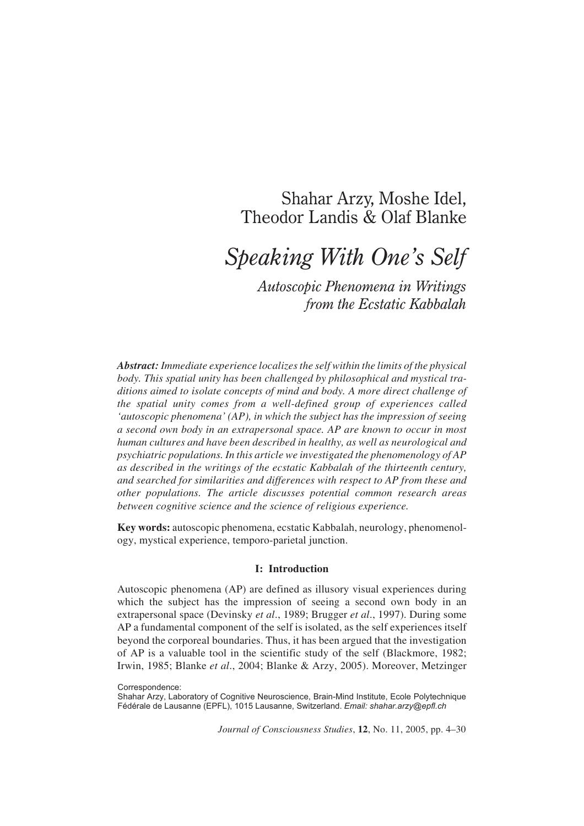# Shahar Arzy, Moshe Idel, Theodor Landis & Olaf Blanke

# *Speaking With One's Self*

*Autoscopic Phenomena in Writings from the Ecstatic Kabbalah*

*Abstract: Immediate experience localizes the self within the limits of the physical body. This spatial unity has been challenged by philosophical and mystical traditions aimed to isolate concepts of mind and body. A more direct challenge of the spatial unity comes from a well-defined group of experiences called 'autoscopic phenomena' (AP), in which the subject has the impression of seeing a second own body in an extrapersonal space. AP are known to occur in most human cultures and have been described in healthy, as well as neurological and psychiatric populations. In this article we investigated the phenomenology of AP as described in the writings of the ecstatic Kabbalah of the thirteenth century, and searched for similarities and differences with respect to AP from these and other populations. The article discusses potential common research areas between cognitive science and the science of religious experience.*

**Key words:** autoscopic phenomena, ecstatic Kabbalah, neurology, phenomenology, mystical experience, temporo-parietal junction.

#### **I: Introduction**

Autoscopic phenomena (AP) are defined as illusory visual experiences during which the subject has the impression of seeing a second own body in an extrapersonal space (Devinsky *et al*., 1989; Brugger *et al*., 1997). During some AP a fundamental component of the self is isolated, as the self experiences itself beyond the corporeal boundaries. Thus, it has been argued that the investigation of AP is a valuable tool in the scientific study of the self (Blackmore, 1982; Irwin, 1985; Blanke *et al*., 2004; Blanke & Arzy, 2005). Moreover, Metzinger

Correspondence:

Shahar Arzy, Laboratory of Cognitive Neuroscience, Brain-Mind Institute, Ecole Polytechnique Fédérale de Lausanne (EPFL), 1015 Lausanne, Switzerland. *Email: shahar.arzy@epfl.ch*

*Journal of Consciousness Studies*, **12**, No. 11, 2005, pp. 4–30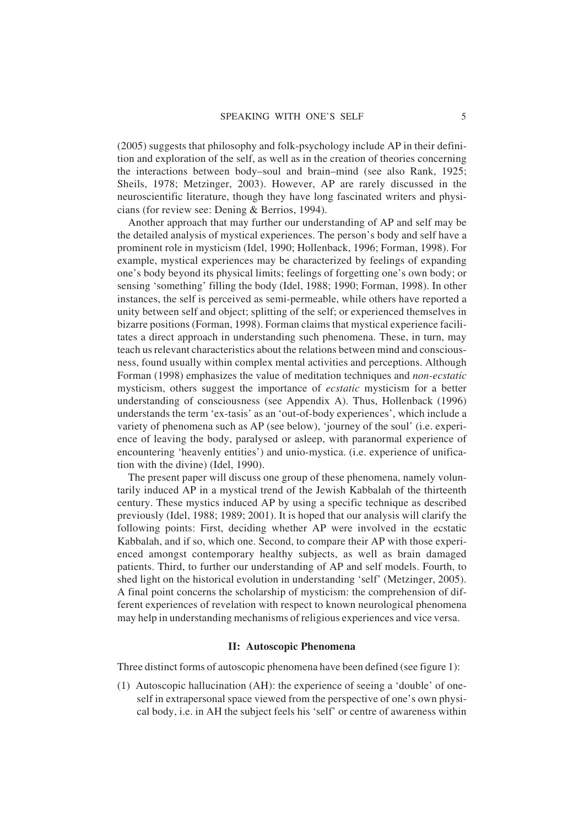(2005) suggests that philosophy and folk-psychology include AP in their definition and exploration of the self, as well as in the creation of theories concerning the interactions between body–soul and brain–mind (see also Rank, 1925; Sheils, 1978; Metzinger, 2003). However, AP are rarely discussed in the neuroscientific literature, though they have long fascinated writers and physicians (for review see: Dening & Berrios, 1994).

Another approach that may further our understanding of AP and self may be the detailed analysis of mystical experiences. The person's body and self have a prominent role in mysticism (Idel, 1990; Hollenback, 1996; Forman, 1998). For example, mystical experiences may be characterized by feelings of expanding one's body beyond its physical limits; feelings of forgetting one's own body; or sensing 'something' filling the body (Idel, 1988; 1990; Forman, 1998). In other instances, the self is perceived as semi-permeable, while others have reported a unity between self and object; splitting of the self; or experienced themselves in bizarre positions (Forman, 1998). Forman claims that mystical experience facilitates a direct approach in understanding such phenomena. These, in turn, may teach us relevant characteristics about the relations between mind and consciousness, found usually within complex mental activities and perceptions. Although Forman (1998) emphasizes the value of meditation techniques and *non-ecstatic* mysticism, others suggest the importance of *ecstatic* mysticism for a better understanding of consciousness (see Appendix A). Thus, Hollenback (1996) understands the term 'ex-tasis' as an 'out-of-body experiences', which include a variety of phenomena such as AP (see below), 'journey of the soul' (i.e. experience of leaving the body, paralysed or asleep, with paranormal experience of encountering 'heavenly entities') and unio-mystica. (i.e. experience of unification with the divine) (Idel, 1990).

The present paper will discuss one group of these phenomena, namely voluntarily induced AP in a mystical trend of the Jewish Kabbalah of the thirteenth century. These mystics induced AP by using a specific technique as described previously (Idel, 1988; 1989; 2001). It is hoped that our analysis will clarify the following points: First, deciding whether AP were involved in the ecstatic Kabbalah, and if so, which one. Second, to compare their AP with those experienced amongst contemporary healthy subjects, as well as brain damaged patients. Third, to further our understanding of AP and self models. Fourth, to shed light on the historical evolution in understanding 'self' (Metzinger, 2005). A final point concerns the scholarship of mysticism: the comprehension of different experiences of revelation with respect to known neurological phenomena may help in understanding mechanisms of religious experiences and vice versa.

#### **II: Autoscopic Phenomena**

Three distinct forms of autoscopic phenomena have been defined (see figure 1):

(1) Autoscopic hallucination (AH): the experience of seeing a 'double' of oneself in extrapersonal space viewed from the perspective of one's own physical body, i.e. in AH the subject feels his 'self' or centre of awareness within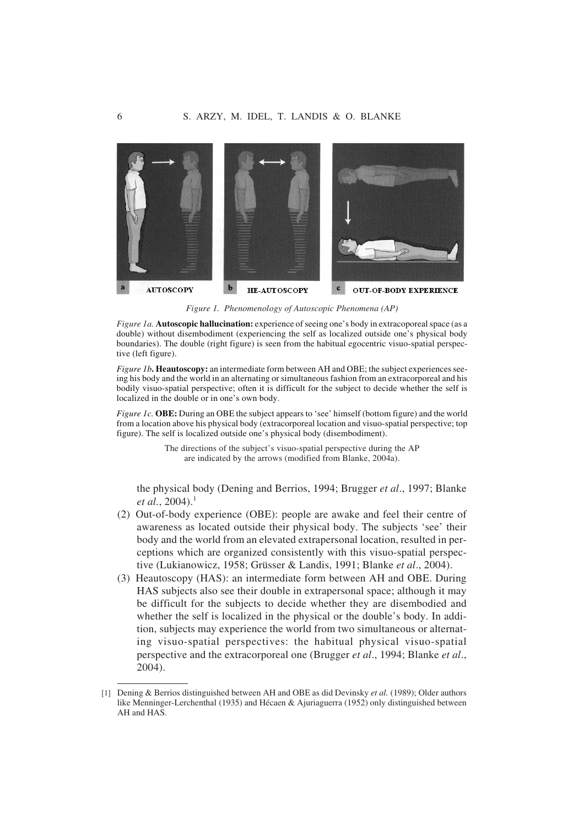

*Figure 1. Phenomenology of Autoscopic Phenomena (AP)*

*Figure 1a.* **Autoscopic hallucination:** experience of seeing one's body in extracoporeal space (as a double) without disembodiment (experiencing the self as localized outside one's physical body boundaries). The double (right figure) is seen from the habitual egocentric visuo-spatial perspective (left figure).

*Figure 1b***. Heautoscopy:** an intermediate form between AH and OBE; the subject experiences seeing his body and the world in an alternating or simultaneous fashion from an extracorporeal and his bodily visuo-spatial perspective; often it is difficult for the subject to decide whether the self is localized in the double or in one's own body.

*Figure 1c.* **OBE:** During an OBE the subject appears to 'see' himself (bottom figure) and the world from a location above his physical body (extracorporeal location and visuo-spatial perspective; top figure). The self is localized outside one's physical body (disembodiment).

> The directions of the subject's visuo-spatial perspective during the AP are indicated by the arrows (modified from Blanke, 2004a).

the physical body (Dening and Berrios, 1994; Brugger *et al*., 1997; Blanke *et al.*, 2004).<sup>1</sup>

- (2) Out-of-body experience (OBE): people are awake and feel their centre of awareness as located outside their physical body. The subjects 'see' their body and the world from an elevated extrapersonal location, resulted in perceptions which are organized consistently with this visuo-spatial perspective (Lukianowicz, 1958; Grüsser & Landis, 1991; Blanke *et al*., 2004).
- (3) Heautoscopy (HAS): an intermediate form between AH and OBE. During HAS subjects also see their double in extrapersonal space; although it may be difficult for the subjects to decide whether they are disembodied and whether the self is localized in the physical or the double's body. In addition, subjects may experience the world from two simultaneous or alternating visuo-spatial perspectives: the habitual physical visuo-spatial perspective and the extracorporeal one (Brugger *et al*., 1994; Blanke *et al*., 2004).

<sup>[1]</sup> Dening & Berrios distinguished between AH and OBE as did Devinsky *et al.* (1989); Older authors like Menninger-Lerchenthal (1935) and Hécaen & Ajuriaguerra (1952) only distinguished between AH and HAS.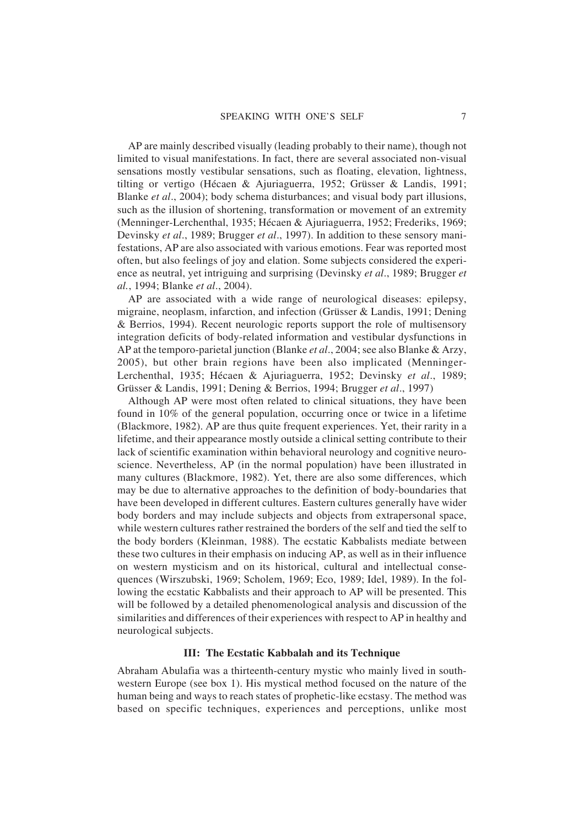AP are mainly described visually (leading probably to their name), though not limited to visual manifestations. In fact, there are several associated non-visual sensations mostly vestibular sensations, such as floating, elevation, lightness, tilting or vertigo (Hécaen & Ajuriaguerra, 1952; Grüsser & Landis, 1991; Blanke *et al*., 2004); body schema disturbances; and visual body part illusions, such as the illusion of shortening, transformation or movement of an extremity (Menninger-Lerchenthal, 1935; Hécaen & Ajuriaguerra, 1952; Frederiks, 1969; Devinsky *et al*., 1989; Brugger *et al*., 1997). In addition to these sensory manifestations, AP are also associated with various emotions. Fear was reported most often, but also feelings of joy and elation. Some subjects considered the experience as neutral, yet intriguing and surprising (Devinsky *et al*., 1989; Brugger *et al.*, 1994; Blanke *et al*., 2004).

AP are associated with a wide range of neurological diseases: epilepsy, migraine, neoplasm, infarction, and infection (Grüsser & Landis, 1991; Dening & Berrios, 1994). Recent neurologic reports support the role of multisensory integration deficits of body-related information and vestibular dysfunctions in AP at the temporo-parietal junction (Blanke *et al*., 2004; see also Blanke & Arzy, 2005), but other brain regions have been also implicated (Menninger-Lerchenthal, 1935; Hécaen & Ajuriaguerra, 1952; Devinsky *et al*., 1989; Grüsser & Landis, 1991; Dening & Berrios, 1994; Brugger *et al*., 1997)

Although AP were most often related to clinical situations, they have been found in 10% of the general population, occurring once or twice in a lifetime (Blackmore, 1982). AP are thus quite frequent experiences. Yet, their rarity in a lifetime, and their appearance mostly outside a clinical setting contribute to their lack of scientific examination within behavioral neurology and cognitive neuroscience. Nevertheless, AP (in the normal population) have been illustrated in many cultures (Blackmore, 1982). Yet, there are also some differences, which may be due to alternative approaches to the definition of body-boundaries that have been developed in different cultures. Eastern cultures generally have wider body borders and may include subjects and objects from extrapersonal space, while western cultures rather restrained the borders of the self and tied the self to the body borders (Kleinman, 1988). The ecstatic Kabbalists mediate between these two cultures in their emphasis on inducing AP, as well as in their influence on western mysticism and on its historical, cultural and intellectual consequences (Wirszubski, 1969; Scholem, 1969; Eco, 1989; Idel, 1989). In the following the ecstatic Kabbalists and their approach to AP will be presented. This will be followed by a detailed phenomenological analysis and discussion of the similarities and differences of their experiences with respect to AP in healthy and neurological subjects.

# **III: The Ecstatic Kabbalah and its Technique**

Abraham Abulafia was a thirteenth-century mystic who mainly lived in southwestern Europe (see box 1). His mystical method focused on the nature of the human being and ways to reach states of prophetic-like ecstasy. The method was based on specific techniques, experiences and perceptions, unlike most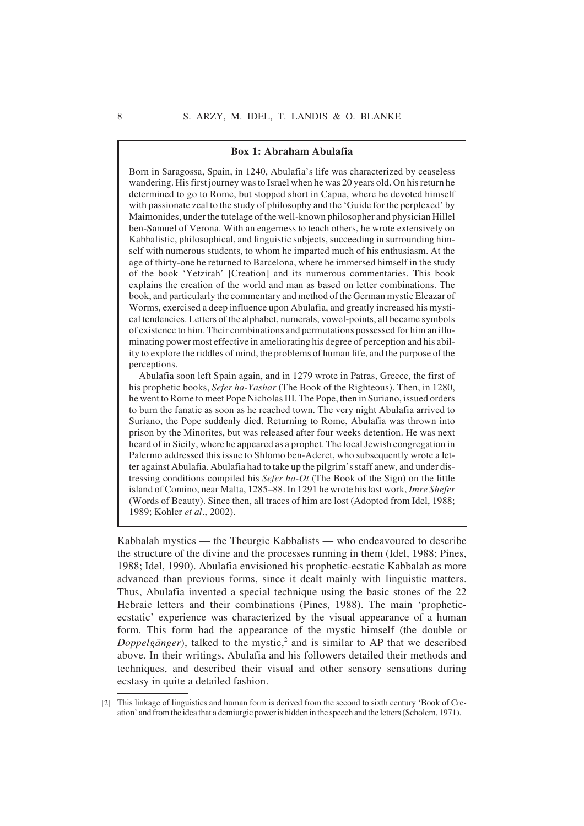#### **Box 1: Abraham Abulafia**

Born in Saragossa, Spain, in 1240, Abulafia's life was characterized by ceaseless wandering. His first journey was to Israel when he was 20 years old. On his return he determined to go to Rome, but stopped short in Capua, where he devoted himself with passionate zeal to the study of philosophy and the 'Guide for the perplexed' by Maimonides, under the tutelage of the well-known philosopher and physician Hillel ben-Samuel of Verona. With an eagerness to teach others, he wrote extensively on Kabbalistic, philosophical, and linguistic subjects, succeeding in surrounding himself with numerous students, to whom he imparted much of his enthusiasm. At the age of thirty-one he returned to Barcelona, where he immersed himself in the study of the book 'Yetzirah' [Creation] and its numerous commentaries. This book explains the creation of the world and man as based on letter combinations. The book, and particularly the commentary and method of the German mystic Eleazar of Worms, exercised a deep influence upon Abulafia, and greatly increased his mystical tendencies. Letters of the alphabet, numerals, vowel-points, all became symbols of existence to him. Their combinations and permutations possessed for him an illuminating power most effective in ameliorating his degree of perception and his ability to explore the riddles of mind, the problems of human life, and the purpose of the perceptions.

Abulafia soon left Spain again, and in 1279 wrote in Patras, Greece, the first of his prophetic books, *Sefer ha-Yashar* (The Book of the Righteous). Then, in 1280, he went to Rome to meet Pope Nicholas III. The Pope, then in Suriano, issued orders to burn the fanatic as soon as he reached town. The very night Abulafia arrived to Suriano, the Pope suddenly died. Returning to Rome, Abulafia was thrown into prison by the Minorites, but was released after four weeks detention. He was next heard of in Sicily, where he appeared as a prophet. The local Jewish congregation in Palermo addressed this issue to Shlomo ben-Aderet, who subsequently wrote a letter against Abulafia. Abulafia had to take up the pilgrim's staff anew, and under distressing conditions compiled his *Sefer ha-Ot* (The Book of the Sign) on the little island of Comino, near Malta, 1285–88. In 1291 he wrote his last work, *Imre Shefer* (Words of Beauty). Since then, all traces of him are lost (Adopted from Idel, 1988; 1989; Kohler *et al*., 2002).

Kabbalah mystics — the Theurgic Kabbalists — who endeavoured to describe the structure of the divine and the processes running in them (Idel, 1988; Pines, 1988; Idel, 1990). Abulafia envisioned his prophetic-ecstatic Kabbalah as more advanced than previous forms, since it dealt mainly with linguistic matters. Thus, Abulafia invented a special technique using the basic stones of the 22 Hebraic letters and their combinations (Pines, 1988). The main 'propheticecstatic' experience was characterized by the visual appearance of a human form. This form had the appearance of the mystic himself (the double or *Doppelgänger*), talked to the mystic,<sup>2</sup> and is similar to AP that we described above. In their writings, Abulafia and his followers detailed their methods and techniques, and described their visual and other sensory sensations during ecstasy in quite a detailed fashion.

<sup>[2]</sup> This linkage of linguistics and human form is derived from the second to sixth century 'Book of Creation' and from the idea that a demiurgic power is hidden in the speech and the letters (Scholem, 1971).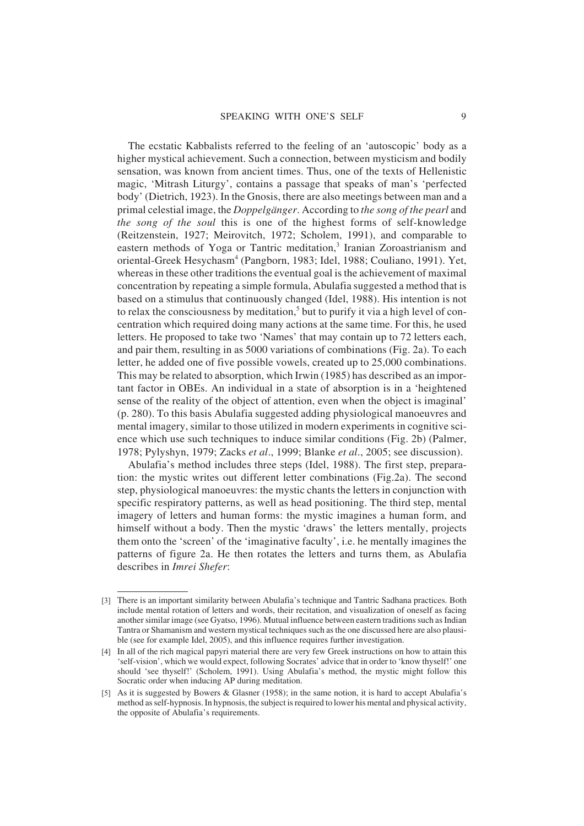The ecstatic Kabbalists referred to the feeling of an 'autoscopic' body as a higher mystical achievement. Such a connection, between mysticism and bodily sensation, was known from ancient times. Thus, one of the texts of Hellenistic magic, 'Mitrash Liturgy', contains a passage that speaks of man's 'perfected body' (Dietrich, 1923). In the Gnosis, there are also meetings between man and a primal celestial image, the *Doppelgänger*. According to *the song of the pearl* and *the song of the soul* this is one of the highest forms of self-knowledge (Reitzenstein, 1927; Meirovitch, 1972; Scholem, 1991), and comparable to eastern methods of Yoga or Tantric meditation,<sup>3</sup> Iranian Zoroastrianism and oriental-Greek Hesychasm<sup>4</sup> (Pangborn, 1983; Idel, 1988; Couliano, 1991). Yet, whereas in these other traditions the eventual goal is the achievement of maximal concentration by repeating a simple formula, Abulafia suggested a method that is based on a stimulus that continuously changed (Idel, 1988). His intention is not to relax the consciousness by meditation,<sup>5</sup> but to purify it via a high level of concentration which required doing many actions at the same time. For this, he used letters. He proposed to take two 'Names' that may contain up to 72 letters each, and pair them, resulting in as 5000 variations of combinations (Fig. 2a). To each letter, he added one of five possible vowels, created up to 25,000 combinations. This may be related to absorption, which Irwin (1985) has described as an important factor in OBEs. An individual in a state of absorption is in a 'heightened sense of the reality of the object of attention, even when the object is imaginal' (p. 280). To this basis Abulafia suggested adding physiological manoeuvres and mental imagery, similar to those utilized in modern experiments in cognitive science which use such techniques to induce similar conditions (Fig. 2b) (Palmer, 1978; Pylyshyn, 1979; Zacks *et al*., 1999; Blanke *et al*., 2005; see discussion).

Abulafia's method includes three steps (Idel, 1988). The first step, preparation: the mystic writes out different letter combinations (Fig.2a). The second step, physiological manoeuvres: the mystic chants the letters in conjunction with specific respiratory patterns, as well as head positioning. The third step, mental imagery of letters and human forms: the mystic imagines a human form, and himself without a body. Then the mystic 'draws' the letters mentally, projects them onto the 'screen' of the 'imaginative faculty', i.e. he mentally imagines the patterns of figure 2a. He then rotates the letters and turns them, as Abulafia describes in *Imrei Shefer*:

<sup>[3]</sup> There is an important similarity between Abulafia's technique and Tantric Sadhana practices. Both include mental rotation of letters and words, their recitation, and visualization of oneself as facing another similar image (see Gyatso, 1996). Mutual influence between eastern traditions such as Indian Tantra or Shamanism and western mystical techniques such as the one discussed here are also plausible (see for example Idel, 2005), and this influence requires further investigation.

<sup>[4]</sup> In all of the rich magical papyri material there are very few Greek instructions on how to attain this 'self-vision', which we would expect, following Socrates' advice that in order to 'know thyself!' one should 'see thyself!' (Scholem, 1991). Using Abulafia's method, the mystic might follow this Socratic order when inducing AP during meditation.

<sup>[5]</sup> As it is suggested by Bowers & Glasner (1958); in the same notion, it is hard to accept Abulafia's method as self-hypnosis. In hypnosis, the subject is required to lower his mental and physical activity, the opposite of Abulafia's requirements.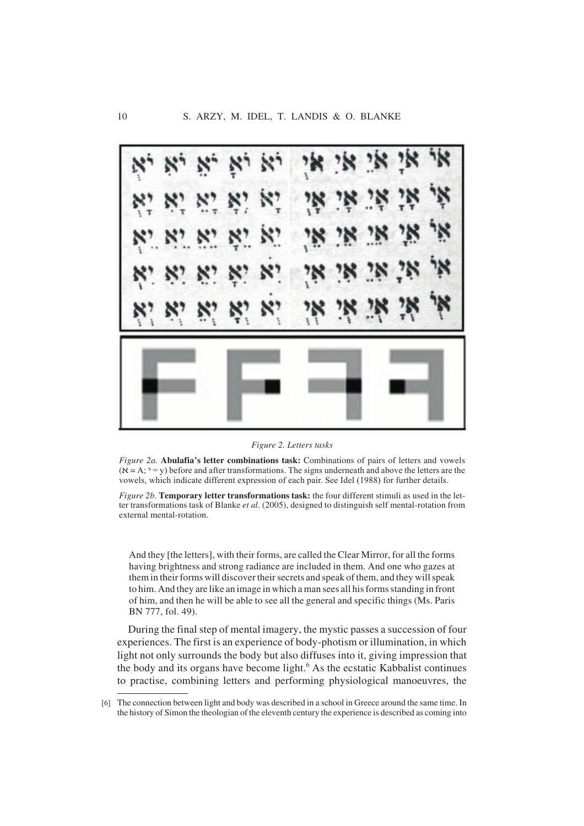

*Figure 2. Letters tasks*

*Figure 2a.* **Abulafia's letter combinations task:** Combinations of pairs of letters and vowels  $(X = A; Y = y)$  before and after transformations. The signs underneath and above the letters are the vowels, which indicate different expression of each pair. See Idel (1988) for further details.

*Figure 2b.* **Temporary letter transformations task:** the four different stimuli as used in the letter transformations task of Blanke *et al*. (2005), designed to distinguish self mental-rotation from external mental-rotation.

And they [the letters], with their forms, are called the Clear Mirror, for all the forms having brightness and strong radiance are included in them. And one who gazes at them in their forms will discover their secrets and speak of them, and they will speak to him. And they are like an image in which a man sees all his forms standing in front of him, and then he will be able to see all the general and specific things (Ms. Paris BN 777, fol. 49).

During the final step of mental imagery, the mystic passes a succession of four experiences. The first is an experience of body-photism or illumination, in which light not only surrounds the body but also diffuses into it, giving impression that the body and its organs have become light.<sup>6</sup> As the ecstatic Kabbalist continues to practise, combining letters and performing physiological manoeuvres, the

<sup>[6]</sup> The connection between light and body was described in a school in Greece around the same time. In the history of Simon the theologian of the eleventh century the experience is described as coming into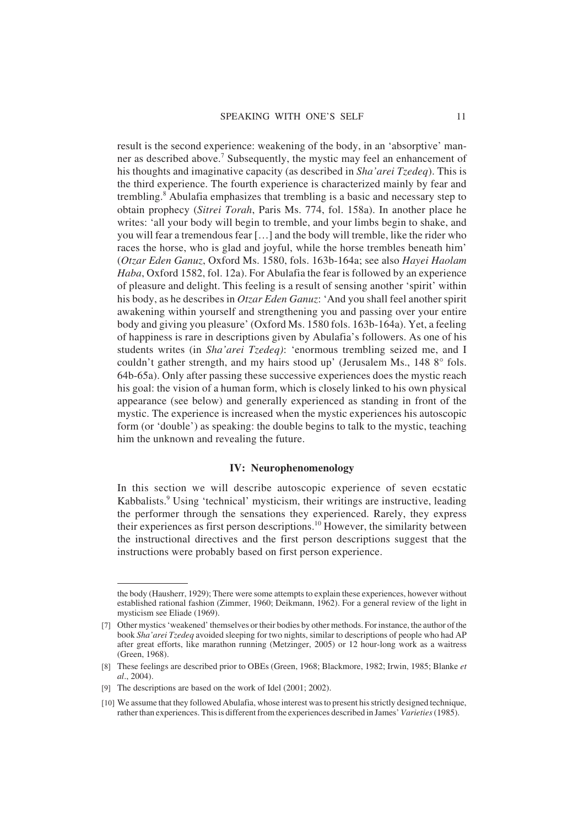result is the second experience: weakening of the body, in an 'absorptive' manner as described above.<sup>7</sup> Subsequently, the mystic may feel an enhancement of his thoughts and imaginative capacity (as described in *Sha'arei Tzedeq*). This is the third experience. The fourth experience is characterized mainly by fear and trembling.8 Abulafia emphasizes that trembling is a basic and necessary step to obtain prophecy (*Sitrei Torah*, Paris Ms. 774, fol. 158a). In another place he writes: 'all your body will begin to tremble, and your limbs begin to shake, and you will fear a tremendous fear […] and the body will tremble, like the rider who races the horse, who is glad and joyful, while the horse trembles beneath him' (*Otzar Eden Ganuz*, Oxford Ms. 1580, fols. 163b-164a; see also *Hayei Haolam Haba*, Oxford 1582, fol. 12a). For Abulafia the fear is followed by an experience of pleasure and delight. This feeling is a result of sensing another 'spirit' within his body, as he describes in *Otzar Eden Ganuz*: 'And you shall feel another spirit awakening within yourself and strengthening you and passing over your entire body and giving you pleasure' (Oxford Ms. 1580 fols. 163b-164a). Yet, a feeling of happiness is rare in descriptions given by Abulafia's followers. As one of his students writes (in *Sha'arei Tzedeq)*: 'enormous trembling seized me, and I couldn't gather strength, and my hairs stood up' (Jerusalem Ms., 148 8° fols. 64b-65a). Only after passing these successive experiences does the mystic reach his goal: the vision of a human form, which is closely linked to his own physical appearance (see below) and generally experienced as standing in front of the mystic. The experience is increased when the mystic experiences his autoscopic form (or 'double') as speaking: the double begins to talk to the mystic, teaching him the unknown and revealing the future.

# **IV: Neurophenomenology**

In this section we will describe autoscopic experience of seven ecstatic Kabbalists.<sup>9</sup> Using 'technical' mysticism, their writings are instructive, leading the performer through the sensations they experienced. Rarely, they express their experiences as first person descriptions.<sup>10</sup> However, the similarity between the instructional directives and the first person descriptions suggest that the instructions were probably based on first person experience.

the body (Hausherr, 1929); There were some attempts to explain these experiences, however without established rational fashion (Zimmer, 1960; Deikmann, 1962). For a general review of the light in mysticism see Eliade (1969).

<sup>[7]</sup> Other mystics 'weakened' themselves or their bodies by other methods. For instance, the author of the book *Sha'arei Tzedeq* avoided sleeping for two nights, similar to descriptions of people who had AP after great efforts, like marathon running (Metzinger, 2005) or 12 hour-long work as a waitress (Green, 1968).

<sup>[8]</sup> These feelings are described prior to OBEs (Green, 1968; Blackmore, 1982; Irwin, 1985; Blanke *et al*., 2004).

<sup>[9]</sup> The descriptions are based on the work of Idel (2001; 2002).

<sup>[10]</sup> We assume that they followed Abulafia, whose interest was to present his strictly designed technique, rather than experiences. This is different from the experiences described in James' *Varieties*(1985).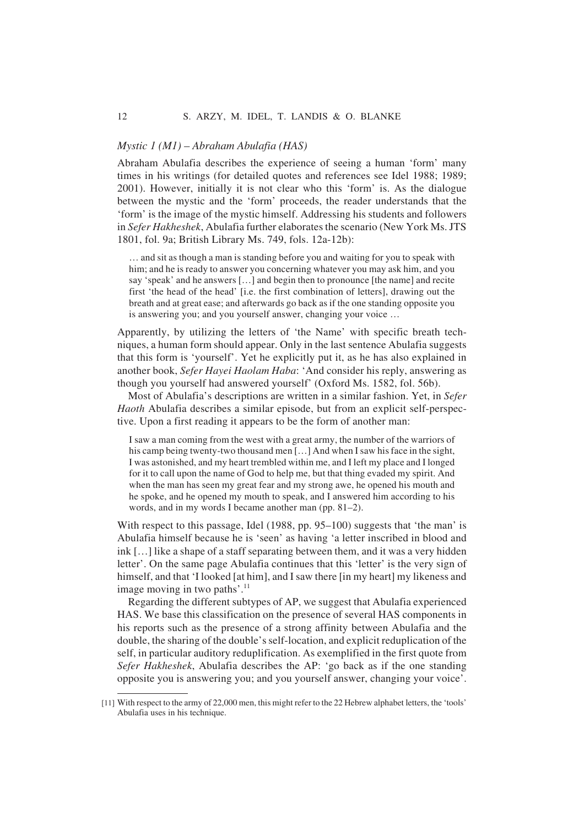# *Mystic 1 (M1) – Abraham Abulafia (HAS)*

Abraham Abulafia describes the experience of seeing a human 'form' many times in his writings (for detailed quotes and references see Idel 1988; 1989; 2001). However, initially it is not clear who this 'form' is. As the dialogue between the mystic and the 'form' proceeds, the reader understands that the 'form' is the image of the mystic himself. Addressing his students and followers in *Sefer Hakheshek*, Abulafia further elaborates the scenario (New York Ms. JTS 1801, fol. 9a; British Library Ms. 749, fols. 12a-12b):

… and sit as though a man is standing before you and waiting for you to speak with him; and he is ready to answer you concerning whatever you may ask him, and you say 'speak' and he answers […] and begin then to pronounce [the name] and recite first 'the head of the head' [i.e. the first combination of letters], drawing out the breath and at great ease; and afterwards go back as if the one standing opposite you is answering you; and you yourself answer, changing your voice …

Apparently, by utilizing the letters of 'the Name' with specific breath techniques, a human form should appear. Only in the last sentence Abulafia suggests that this form is 'yourself'. Yet he explicitly put it, as he has also explained in another book, *Sefer Hayei Haolam Haba*: 'And consider his reply, answering as though you yourself had answered yourself' (Oxford Ms. 1582, fol. 56b).

Most of Abulafia's descriptions are written in a similar fashion. Yet, in *Sefer Haoth* Abulafia describes a similar episode, but from an explicit self-perspective. Upon a first reading it appears to be the form of another man:

I saw a man coming from the west with a great army, the number of the warriors of his camp being twenty-two thousand men [...] And when I saw his face in the sight, I was astonished, and my heart trembled within me, and I left my place and I longed for it to call upon the name of God to help me, but that thing evaded my spirit. And when the man has seen my great fear and my strong awe, he opened his mouth and he spoke, and he opened my mouth to speak, and I answered him according to his words, and in my words I became another man (pp. 81–2).

With respect to this passage, Idel (1988, pp. 95–100) suggests that 'the man' is Abulafia himself because he is 'seen' as having 'a letter inscribed in blood and ink […] like a shape of a staff separating between them, and it was a very hidden letter'. On the same page Abulafia continues that this 'letter' is the very sign of himself, and that 'I looked [at him], and I saw there [in my heart] my likeness and image moving in two paths'. $\frac{11}{11}$ 

Regarding the different subtypes of AP, we suggest that Abulafia experienced HAS. We base this classification on the presence of several HAS components in his reports such as the presence of a strong affinity between Abulafia and the double, the sharing of the double's self-location, and explicit reduplication of the self, in particular auditory reduplification. As exemplified in the first quote from *Sefer Hakheshek*, Abulafia describes the AP: 'go back as if the one standing opposite you is answering you; and you yourself answer, changing your voice'.

<sup>[11]</sup> With respect to the army of 22,000 men, this might refer to the 22 Hebrew alphabet letters, the 'tools' Abulafia uses in his technique.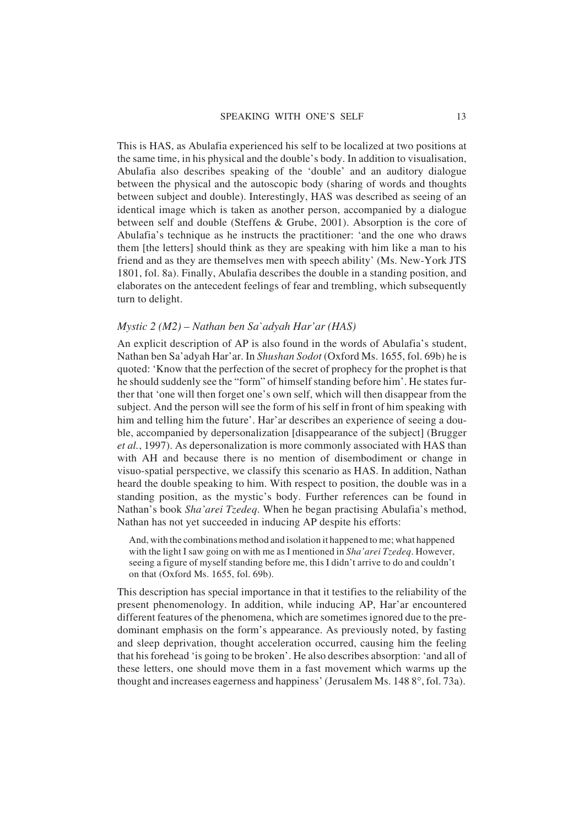This is HAS, as Abulafia experienced his self to be localized at two positions at the same time, in his physical and the double's body. In addition to visualisation, Abulafia also describes speaking of the 'double' and an auditory dialogue between the physical and the autoscopic body (sharing of words and thoughts between subject and double). Interestingly, HAS was described as seeing of an identical image which is taken as another person, accompanied by a dialogue between self and double (Steffens & Grube, 2001). Absorption is the core of Abulafia's technique as he instructs the practitioner: 'and the one who draws them [the letters] should think as they are speaking with him like a man to his friend and as they are themselves men with speech ability' (Ms. New-York JTS 1801, fol. 8a). Finally, Abulafia describes the double in a standing position, and elaborates on the antecedent feelings of fear and trembling, which subsequently turn to delight.

# *Mystic 2 (M2) – Nathan ben Sa`adyah Har'ar (HAS)*

An explicit description of AP is also found in the words of Abulafia's student, Nathan ben Sa'adyah Har'ar. In *Shushan Sodot* (Oxford Ms. 1655, fol. 69b) he is quoted: 'Know that the perfection of the secret of prophecy for the prophet is that he should suddenly see the "form" of himself standing before him'. He states further that 'one will then forget one's own self, which will then disappear from the subject. And the person will see the form of his self in front of him speaking with him and telling him the future'. Har'ar describes an experience of seeing a double, accompanied by depersonalization [disappearance of the subject] (Brugger *et al.*, 1997). As depersonalization is more commonly associated with HAS than with AH and because there is no mention of disembodiment or change in visuo-spatial perspective, we classify this scenario as HAS. In addition, Nathan heard the double speaking to him. With respect to position, the double was in a standing position, as the mystic's body. Further references can be found in Nathan's book *Sha'arei Tzedeq*. When he began practising Abulafia's method, Nathan has not yet succeeded in inducing AP despite his efforts:

And, with the combinations method and isolation it happened to me; what happened with the light I saw going on with me as I mentioned in *Sha'arei Tzedeq*. However, seeing a figure of myself standing before me, this I didn't arrive to do and couldn't on that (Oxford Ms. 1655, fol. 69b).

This description has special importance in that it testifies to the reliability of the present phenomenology. In addition, while inducing AP, Har'ar encountered different features of the phenomena, which are sometimes ignored due to the predominant emphasis on the form's appearance. As previously noted, by fasting and sleep deprivation, thought acceleration occurred, causing him the feeling that his forehead 'is going to be broken'. He also describes absorption: 'and all of these letters, one should move them in a fast movement which warms up the thought and increases eagerness and happiness' (Jerusalem Ms.  $1488^\circ$ , fol. 73a).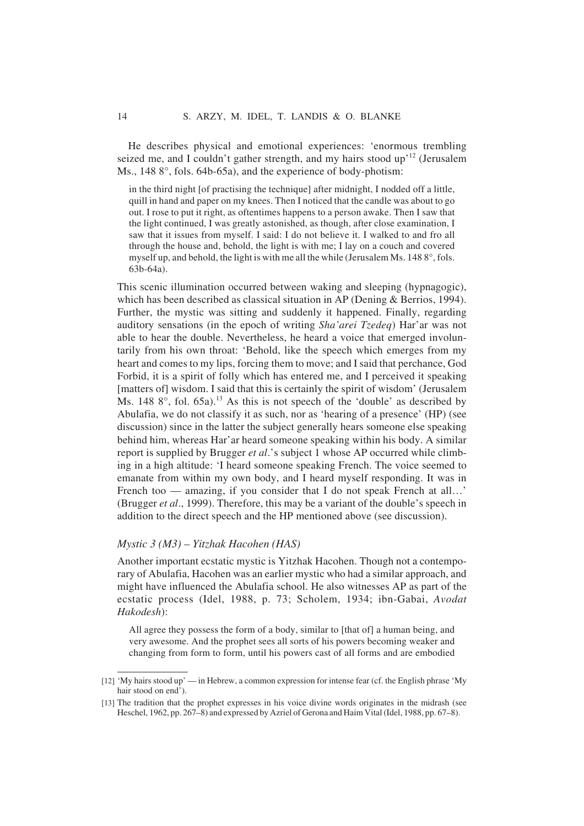He describes physical and emotional experiences: 'enormous trembling seized me, and I couldn't gather strength, and my hairs stood up<sup>'12</sup> (Jerusalem Ms., 148 8°, fols. 64b-65a), and the experience of body-photism:

in the third night [of practising the technique] after midnight, I nodded off a little, quill in hand and paper on my knees. Then I noticed that the candle was about to go out. I rose to put it right, as oftentimes happens to a person awake. Then I saw that the light continued, I was greatly astonished, as though, after close examination, I saw that it issues from myself. I said: I do not believe it. I walked to and fro all through the house and, behold, the light is with me; I lay on a couch and covered myself up, and behold, the light is with me all the while (Jerusalem Ms. 148 8°, fols. 63b-64a).

This scenic illumination occurred between waking and sleeping (hypnagogic), which has been described as classical situation in AP (Dening & Berrios, 1994). Further, the mystic was sitting and suddenly it happened. Finally, regarding auditory sensations (in the epoch of writing *Sha'arei Tzedeq*) Har'ar was not able to hear the double. Nevertheless, he heard a voice that emerged involuntarily from his own throat: 'Behold, like the speech which emerges from my heart and comes to my lips, forcing them to move; and I said that perchance, God Forbid, it is a spirit of folly which has entered me, and I perceived it speaking [matters of] wisdom. I said that this is certainly the spirit of wisdom' (Jerusalem Ms.  $148\,8^\circ$ , fol.  $65a$ ).<sup>13</sup> As this is not speech of the 'double' as described by Abulafia, we do not classify it as such, nor as 'hearing of a presence' (HP) (see discussion) since in the latter the subject generally hears someone else speaking behind him, whereas Har'ar heard someone speaking within his body. A similar report is supplied by Brugger *et al*.'s subject 1 whose AP occurred while climbing in a high altitude: 'I heard someone speaking French. The voice seemed to emanate from within my own body, and I heard myself responding. It was in French too — amazing, if you consider that I do not speak French at all...' (Brugger *et al*., 1999). Therefore, this may be a variant of the double's speech in addition to the direct speech and the HP mentioned above (see discussion).

# *Mystic 3 (M3) – Yitzhak Hacohen (HAS)*

Another important ecstatic mystic is Yitzhak Hacohen. Though not a contemporary of Abulafia, Hacohen was an earlier mystic who had a similar approach, and might have influenced the Abulafia school. He also witnesses AP as part of the ecstatic process (Idel, 1988, p. 73; Scholem, 1934; ibn-Gabai, *Avodat Hakodesh*):

All agree they possess the form of a body, similar to [that of] a human being, and very awesome. And the prophet sees all sorts of his powers becoming weaker and changing from form to form, until his powers cast of all forms and are embodied

<sup>[12]</sup> 'My hairs stood up' — in Hebrew, a common expression for intense fear (cf. the English phrase 'My hair stood on end').

<sup>[13]</sup> The tradition that the prophet expresses in his voice divine words originates in the midrash (see Heschel, 1962, pp. 267–8) and expressed by Azriel of Gerona and Haim Vital (Idel, 1988, pp. 67–8).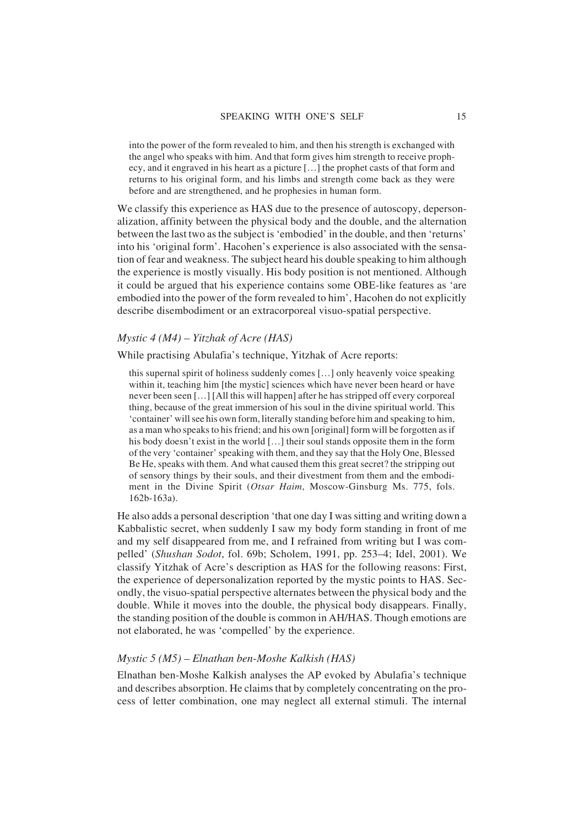into the power of the form revealed to him, and then his strength is exchanged with the angel who speaks with him. And that form gives him strength to receive prophecy, and it engraved in his heart as a picture […] the prophet casts of that form and returns to his original form, and his limbs and strength come back as they were before and are strengthened, and he prophesies in human form.

We classify this experience as HAS due to the presence of autoscopy, depersonalization, affinity between the physical body and the double, and the alternation between the last two as the subject is 'embodied' in the double, and then 'returns' into his 'original form'. Hacohen's experience is also associated with the sensation of fear and weakness. The subject heard his double speaking to him although the experience is mostly visually. His body position is not mentioned. Although it could be argued that his experience contains some OBE-like features as 'are embodied into the power of the form revealed to him', Hacohen do not explicitly describe disembodiment or an extracorporeal visuo-spatial perspective.

# *Mystic 4 (M4) – Yitzhak of Acre (HAS)*

While practising Abulafia's technique, Yitzhak of Acre reports:

this supernal spirit of holiness suddenly comes […] only heavenly voice speaking within it, teaching him [the mystic] sciences which have never been heard or have never been seen […] [All this will happen] after he has stripped off every corporeal thing, because of the great immersion of his soul in the divine spiritual world. This 'container' will see his own form, literally standing before him and speaking to him, as a man who speaks to his friend; and his own [original] form will be forgotten as if his body doesn't exist in the world […] their soul stands opposite them in the form of the very 'container' speaking with them, and they say that the Holy One, Blessed Be He, speaks with them. And what caused them this great secret? the stripping out of sensory things by their souls, and their divestment from them and the embodiment in the Divine Spirit (*Otsar Haim*, Moscow-Ginsburg Ms. 775, fols. 162b-163a).

He also adds a personal description 'that one day I was sitting and writing down a Kabbalistic secret, when suddenly I saw my body form standing in front of me and my self disappeared from me, and I refrained from writing but I was compelled' (*Shushan Sodot*, fol. 69b; Scholem, 1991, pp. 253–4; Idel, 2001). We classify Yitzhak of Acre's description as HAS for the following reasons: First, the experience of depersonalization reported by the mystic points to HAS. Secondly, the visuo-spatial perspective alternates between the physical body and the double. While it moves into the double, the physical body disappears. Finally, the standing position of the double is common in AH/HAS. Though emotions are not elaborated, he was 'compelled' by the experience.

# *Mystic 5 (M5) – Elnathan ben-Moshe Kalkish (HAS)*

Elnathan ben-Moshe Kalkish analyses the AP evoked by Abulafia's technique and describes absorption. He claims that by completely concentrating on the process of letter combination, one may neglect all external stimuli. The internal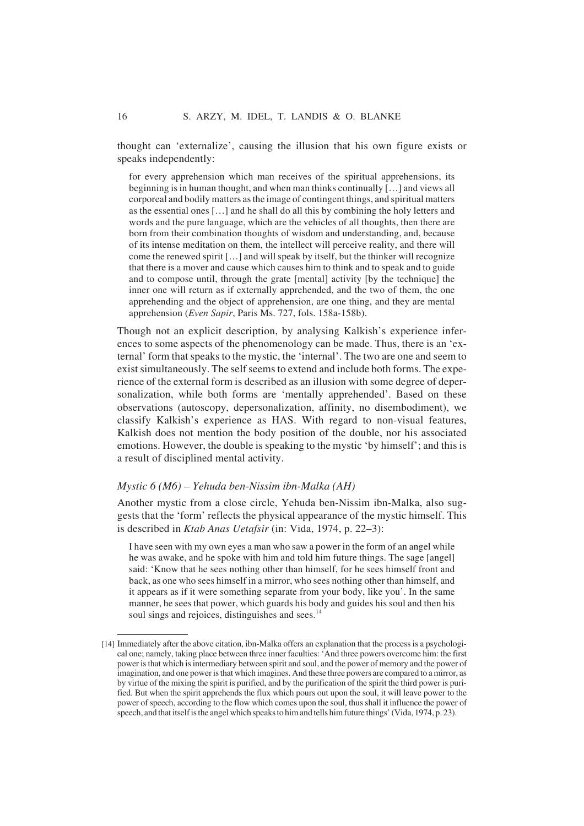thought can 'externalize', causing the illusion that his own figure exists or speaks independently:

for every apprehension which man receives of the spiritual apprehensions, its beginning is in human thought, and when man thinks continually […] and views all corporeal and bodily matters as the image of contingent things, and spiritual matters as the essential ones […] and he shall do all this by combining the holy letters and words and the pure language, which are the vehicles of all thoughts, then there are born from their combination thoughts of wisdom and understanding, and, because of its intense meditation on them, the intellect will perceive reality, and there will come the renewed spirit […] and will speak by itself, but the thinker will recognize that there is a mover and cause which causes him to think and to speak and to guide and to compose until, through the grate [mental] activity [by the technique] the inner one will return as if externally apprehended, and the two of them, the one apprehending and the object of apprehension, are one thing, and they are mental apprehension (*Even Sapir*, Paris Ms. 727, fols. 158a-158b).

Though not an explicit description, by analysing Kalkish's experience inferences to some aspects of the phenomenology can be made. Thus, there is an 'external' form that speaks to the mystic, the 'internal'. The two are one and seem to exist simultaneously. The self seems to extend and include both forms. The experience of the external form is described as an illusion with some degree of depersonalization, while both forms are 'mentally apprehended'. Based on these observations (autoscopy, depersonalization, affinity, no disembodiment), we classify Kalkish's experience as HAS. With regard to non-visual features, Kalkish does not mention the body position of the double, nor his associated emotions. However, the double is speaking to the mystic 'by himself'; and this is a result of disciplined mental activity.

#### *Mystic 6 (M6) – Yehuda ben-Nissim ibn-Malka (AH)*

Another mystic from a close circle, Yehuda ben-Nissim ibn-Malka, also suggests that the 'form' reflects the physical appearance of the mystic himself. This is described in *Ktab Anas Uetafsir* (in: Vida, 1974, p. 22–3):

I have seen with my own eyes a man who saw a power in the form of an angel while he was awake, and he spoke with him and told him future things. The sage [angel] said: 'Know that he sees nothing other than himself, for he sees himself front and back, as one who sees himself in a mirror, who sees nothing other than himself, and it appears as if it were something separate from your body, like you'. In the same manner, he sees that power, which guards his body and guides his soul and then his soul sings and rejoices, distinguishes and sees.<sup>14</sup>

<sup>[14]</sup> Immediately after the above citation, ibn-Malka offers an explanation that the process is a psychological one; namely, taking place between three inner faculties: 'And three powers overcome him: the first power is that which is intermediary between spirit and soul, and the power of memory and the power of imagination, and one power is that which imagines. And these three powers are compared to a mirror, as by virtue of the mixing the spirit is purified, and by the purification of the spirit the third power is purified. But when the spirit apprehends the flux which pours out upon the soul, it will leave power to the power of speech, according to the flow which comes upon the soul, thus shall it influence the power of speech, and that itself is the angel which speaks to him and tells him future things' (Vida, 1974, p. 23).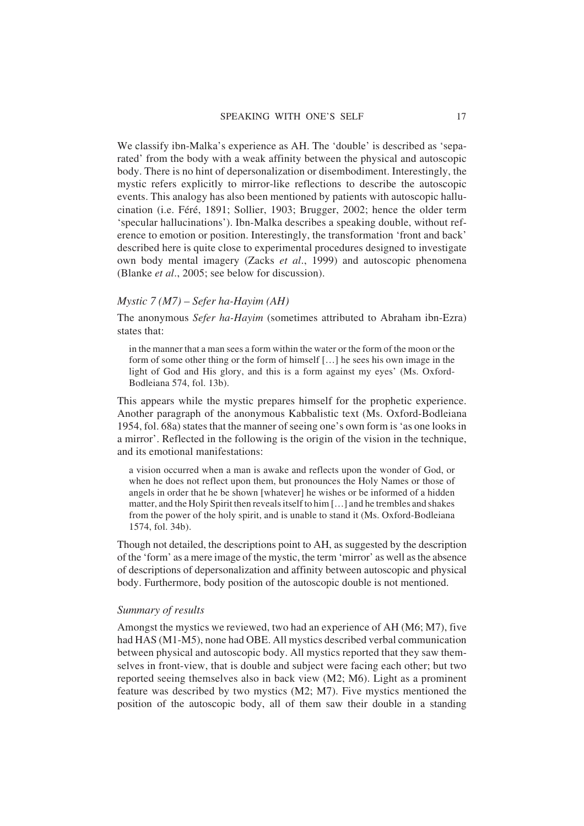We classify ibn-Malka's experience as AH. The 'double' is described as 'separated' from the body with a weak affinity between the physical and autoscopic body. There is no hint of depersonalization or disembodiment. Interestingly, the mystic refers explicitly to mirror-like reflections to describe the autoscopic events. This analogy has also been mentioned by patients with autoscopic hallucination (i.e. Féré, 1891; Sollier, 1903; Brugger, 2002; hence the older term 'specular hallucinations'). Ibn-Malka describes a speaking double, without reference to emotion or position. Interestingly, the transformation 'front and back' described here is quite close to experimental procedures designed to investigate own body mental imagery (Zacks *et al*., 1999) and autoscopic phenomena (Blanke *et al*., 2005; see below for discussion).

#### *Mystic 7 (M7) – Sefer ha-Hayim (AH)*

The anonymous *Sefer ha-Hayim* (sometimes attributed to Abraham ibn-Ezra) states that:

in the manner that a man sees a form within the water or the form of the moon or the form of some other thing or the form of himself […] he sees his own image in the light of God and His glory, and this is a form against my eyes' (Ms. Oxford-Bodleiana 574, fol. 13b).

This appears while the mystic prepares himself for the prophetic experience. Another paragraph of the anonymous Kabbalistic text (Ms. Oxford-Bodleiana 1954, fol. 68a) states that the manner of seeing one's own form is 'as one looks in a mirror'. Reflected in the following is the origin of the vision in the technique, and its emotional manifestations:

a vision occurred when a man is awake and reflects upon the wonder of God, or when he does not reflect upon them, but pronounces the Holy Names or those of angels in order that he be shown [whatever] he wishes or be informed of a hidden matter, and the Holy Spirit then reveals itself to him […] and he trembles and shakes from the power of the holy spirit, and is unable to stand it (Ms. Oxford-Bodleiana 1574, fol. 34b).

Though not detailed, the descriptions point to AH, as suggested by the description of the 'form' as a mere image of the mystic, the term 'mirror' as well as the absence of descriptions of depersonalization and affinity between autoscopic and physical body. Furthermore, body position of the autoscopic double is not mentioned.

#### *Summary of results*

Amongst the mystics we reviewed, two had an experience of AH (M6; M7), five had HAS (M1-M5), none had OBE. All mystics described verbal communication between physical and autoscopic body. All mystics reported that they saw themselves in front-view, that is double and subject were facing each other; but two reported seeing themselves also in back view (M2; M6). Light as a prominent feature was described by two mystics (M2; M7). Five mystics mentioned the position of the autoscopic body, all of them saw their double in a standing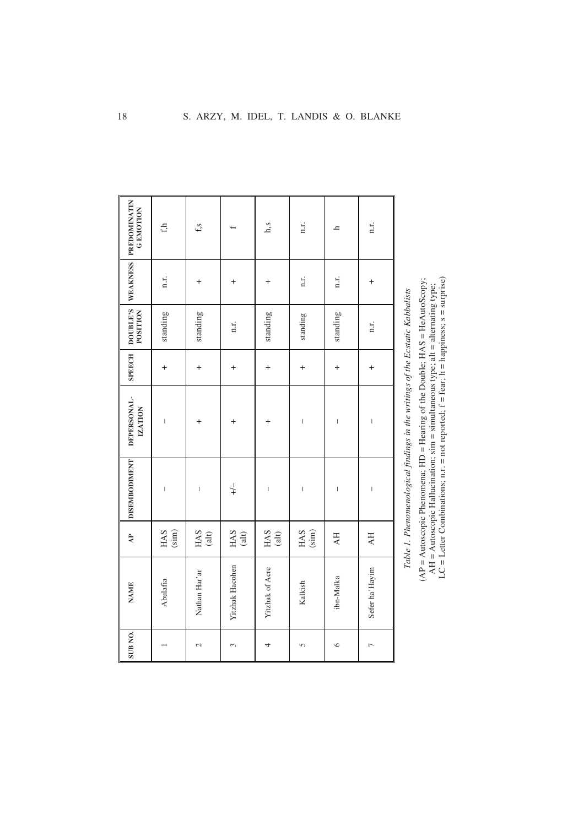|                                    | $\mathbf{f}$                                                                                                                                                                                                                                                                                                                                                                     | f, s                                  |                 | h,s                      | n.r.                                                                                                                                                                                                                                                                                                                                                                             | h,                       | n.r.                           |
|------------------------------------|----------------------------------------------------------------------------------------------------------------------------------------------------------------------------------------------------------------------------------------------------------------------------------------------------------------------------------------------------------------------------------|---------------------------------------|-----------------|--------------------------|----------------------------------------------------------------------------------------------------------------------------------------------------------------------------------------------------------------------------------------------------------------------------------------------------------------------------------------------------------------------------------|--------------------------|--------------------------------|
| WEAKNESS PREDOMINATIN<br>G EMOTION | n.r.                                                                                                                                                                                                                                                                                                                                                                             | $^{+}$                                | $^{+}$          | $^{+}$                   | n.r.                                                                                                                                                                                                                                                                                                                                                                             | n.r.                     | $\,{}^+$                       |
| DOUBLE'S                           | standing                                                                                                                                                                                                                                                                                                                                                                         | standing                              | n.r.            | standing                 | standing                                                                                                                                                                                                                                                                                                                                                                         | standing                 | n.r.                           |
| <b>SPEECH</b>                      | $^{+}$                                                                                                                                                                                                                                                                                                                                                                           | $\ddot{}$                             | $^{+}$          | $^{+}$                   | $^{+}$                                                                                                                                                                                                                                                                                                                                                                           | $^{+}$                   | $^{+}$                         |
| DEPERSONAL-<br><b>IZATION</b>      | $\begin{array}{c} \rule{0pt}{2.5ex} \rule{0pt}{2.5ex} \rule{0pt}{2.5ex} \rule{0pt}{2.5ex} \rule{0pt}{2.5ex} \rule{0pt}{2.5ex} \rule{0pt}{2.5ex} \rule{0pt}{2.5ex} \rule{0pt}{2.5ex} \rule{0pt}{2.5ex} \rule{0pt}{2.5ex} \rule{0pt}{2.5ex} \rule{0pt}{2.5ex} \rule{0pt}{2.5ex} \rule{0pt}{2.5ex} \rule{0pt}{2.5ex} \rule{0pt}{2.5ex} \rule{0pt}{2.5ex} \rule{0pt}{2.5ex} \rule{0$ | $\,{}^+$                              | +               | $\overline{+}$           | $\begin{array}{c} \rule{0pt}{2.5ex} \rule{0pt}{2.5ex} \rule{0pt}{2.5ex} \rule{0pt}{2.5ex} \rule{0pt}{2.5ex} \rule{0pt}{2.5ex} \rule{0pt}{2.5ex} \rule{0pt}{2.5ex} \rule{0pt}{2.5ex} \rule{0pt}{2.5ex} \rule{0pt}{2.5ex} \rule{0pt}{2.5ex} \rule{0pt}{2.5ex} \rule{0pt}{2.5ex} \rule{0pt}{2.5ex} \rule{0pt}{2.5ex} \rule{0pt}{2.5ex} \rule{0pt}{2.5ex} \rule{0pt}{2.5ex} \rule{0$ | $\mid$                   | $\overline{\phantom{a}}$       |
| <b>DISEMBODIMENT</b>               | $\begin{array}{c} \rule{0pt}{2.5ex} \rule{0pt}{2.5ex} \rule{0pt}{2.5ex} \rule{0pt}{2.5ex} \rule{0pt}{2.5ex} \rule{0pt}{2.5ex} \rule{0pt}{2.5ex} \rule{0pt}{2.5ex} \rule{0pt}{2.5ex} \rule{0pt}{2.5ex} \rule{0pt}{2.5ex} \rule{0pt}{2.5ex} \rule{0pt}{2.5ex} \rule{0pt}{2.5ex} \rule{0pt}{2.5ex} \rule{0pt}{2.5ex} \rule{0pt}{2.5ex} \rule{0pt}{2.5ex} \rule{0pt}{2.5ex} \rule{0$ | $\overline{\phantom{a}}$              | $\downarrow$    | $\overline{\phantom{a}}$ | $\overline{\phantom{a}}$                                                                                                                                                                                                                                                                                                                                                         | $\overline{\phantom{a}}$ | $\begin{array}{c} \end{array}$ |
| $\overline{AB}$                    | HAS<br>(sim)                                                                                                                                                                                                                                                                                                                                                                     | HAS<br>$\qquad \qquad \textbf{(alt)}$ | HAS<br>(alt)    | HAS<br>(alt)             | HAS<br>(sim)                                                                                                                                                                                                                                                                                                                                                                     | AH                       | AH                             |
| <b>NAME</b>                        | Abulafia                                                                                                                                                                                                                                                                                                                                                                         | Nathan Har'ar                         | Yitzhak Hacohen | Yitzhak of Acre          | Kalkish                                                                                                                                                                                                                                                                                                                                                                          | ibn-Malka                | Sefer ha'Hayim                 |
| SUB <sub>NO</sub> .                |                                                                                                                                                                                                                                                                                                                                                                                  | $\sim$                                | 3               | 4                        | 5                                                                                                                                                                                                                                                                                                                                                                                | $\circ$                  | $\overline{a}$                 |

Table 1. Phenomenological findings in the writings of the Ecstatic Kabbalists *Table 1. Phenomenological findings in the writings of the Ecstatic Kabbalists*

(AP = Autoscopic Phenomena; HD = Hearing of the Double; HAS = HeAutoScopy;<br>AH = Autoscopic Hallucination; sim = simultaneous type; alt = alternating type;<br>LC = Letter Combinations; n.r. = not reported; f = fear; h = happi LC = Letter Combinations; n.r. = not reported;  $f = \text{fear}$ ; h = happiness; s = surprise)  $(AP = Autoscopic Phenomena; HD = Hearing of the Double; HAS = HeAutoscopy;$ AH = Autoscopic Hallucination;  $sim =$  simultaneous type; alt = alternating type;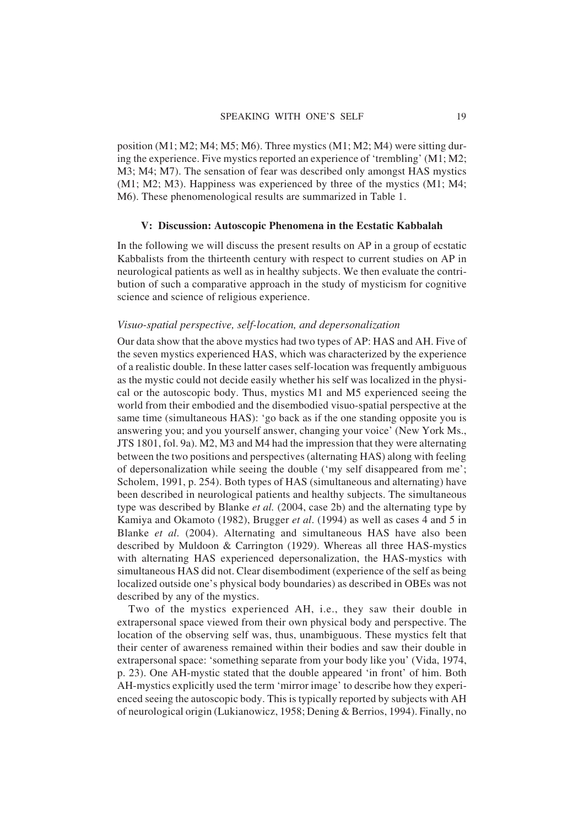position (M1; M2; M4; M5; M6). Three mystics (M1; M2; M4) were sitting during the experience. Five mystics reported an experience of 'trembling' (M1; M2; M3; M4; M7). The sensation of fear was described only amongst HAS mystics  $(M1; M2; M3)$ . Happiness was experienced by three of the mystics  $(M1; M4; M4)$ M6). These phenomenological results are summarized in Table 1.

# **V: Discussion: Autoscopic Phenomena in the Ecstatic Kabbalah**

In the following we will discuss the present results on AP in a group of ecstatic Kabbalists from the thirteenth century with respect to current studies on AP in neurological patients as well as in healthy subjects. We then evaluate the contribution of such a comparative approach in the study of mysticism for cognitive science and science of religious experience.

#### *Visuo-spatial perspective, self-location, and depersonalization*

Our data show that the above mystics had two types of AP: HAS and AH. Five of the seven mystics experienced HAS, which was characterized by the experience of a realistic double. In these latter cases self-location was frequently ambiguous as the mystic could not decide easily whether his self was localized in the physical or the autoscopic body. Thus, mystics M1 and M5 experienced seeing the world from their embodied and the disembodied visuo-spatial perspective at the same time (simultaneous HAS): 'go back as if the one standing opposite you is answering you; and you yourself answer, changing your voice' (New York Ms., JTS 1801, fol. 9a). M2, M3 and M4 had the impression that they were alternating between the two positions and perspectives (alternating HAS) along with feeling of depersonalization while seeing the double ('my self disappeared from me'; Scholem, 1991, p. 254). Both types of HAS (simultaneous and alternating) have been described in neurological patients and healthy subjects. The simultaneous type was described by Blanke *et al.* (2004, case 2b) and the alternating type by Kamiya and Okamoto (1982), Brugger *et al*. (1994) as well as cases 4 and 5 in Blanke *et al.* (2004). Alternating and simultaneous HAS have also been described by Muldoon & Carrington (1929). Whereas all three HAS-mystics with alternating HAS experienced depersonalization, the HAS-mystics with simultaneous HAS did not. Clear disembodiment (experience of the self as being localized outside one's physical body boundaries) as described in OBEs was not described by any of the mystics.

Two of the mystics experienced AH, i.e., they saw their double in extrapersonal space viewed from their own physical body and perspective. The location of the observing self was, thus, unambiguous. These mystics felt that their center of awareness remained within their bodies and saw their double in extrapersonal space: 'something separate from your body like you' (Vida, 1974, p. 23). One AH-mystic stated that the double appeared 'in front' of him. Both AH-mystics explicitly used the term 'mirror image' to describe how they experienced seeing the autoscopic body. This is typically reported by subjects with AH of neurological origin (Lukianowicz, 1958; Dening & Berrios, 1994). Finally, no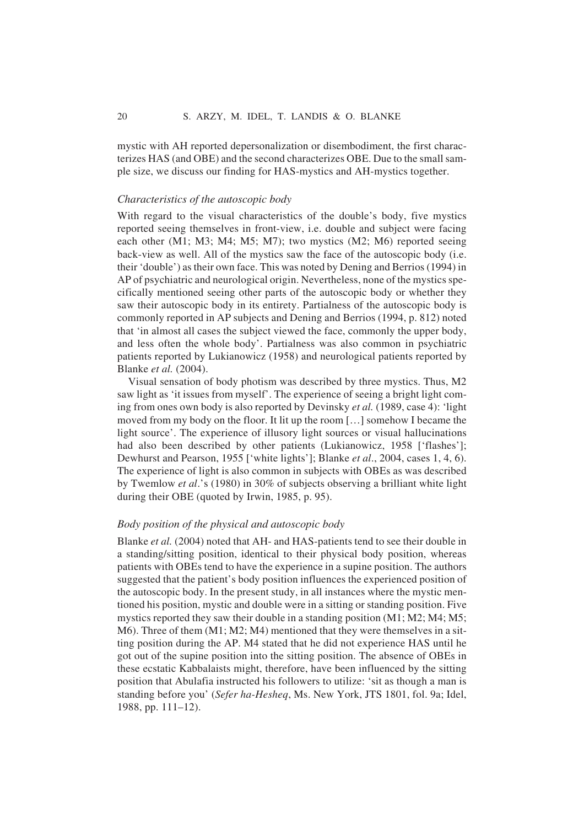mystic with AH reported depersonalization or disembodiment, the first characterizes HAS (and OBE) and the second characterizes OBE. Due to the small sample size, we discuss our finding for HAS-mystics and AH-mystics together.

# *Characteristics of the autoscopic body*

With regard to the visual characteristics of the double's body, five mystics reported seeing themselves in front-view, i.e. double and subject were facing each other (M1; M3; M4; M5; M7); two mystics (M2; M6) reported seeing back-view as well. All of the mystics saw the face of the autoscopic body (i.e. their 'double') as their own face. This was noted by Dening and Berrios (1994) in AP of psychiatric and neurological origin. Nevertheless, none of the mystics specifically mentioned seeing other parts of the autoscopic body or whether they saw their autoscopic body in its entirety. Partialness of the autoscopic body is commonly reported in AP subjects and Dening and Berrios (1994, p. 812) noted that 'in almost all cases the subject viewed the face, commonly the upper body, and less often the whole body'. Partialness was also common in psychiatric patients reported by Lukianowicz (1958) and neurological patients reported by Blanke *et al.* (2004).

Visual sensation of body photism was described by three mystics. Thus, M2 saw light as 'it issues from myself'. The experience of seeing a bright light coming from ones own body is also reported by Devinsky *et al.* (1989, case 4): 'light moved from my body on the floor. It lit up the room […] somehow I became the light source'. The experience of illusory light sources or visual hallucinations had also been described by other patients (Lukianowicz, 1958 ['flashes']; Dewhurst and Pearson, 1955 ['white lights']; Blanke *et al*., 2004, cases 1, 4, 6). The experience of light is also common in subjects with OBEs as was described by Twemlow *et al*.'s (1980) in 30% of subjects observing a brilliant white light during their OBE (quoted by Irwin, 1985, p. 95).

# *Body position of the physical and autoscopic body*

Blanke *et al.* (2004) noted that AH- and HAS-patients tend to see their double in a standing/sitting position, identical to their physical body position, whereas patients with OBEs tend to have the experience in a supine position. The authors suggested that the patient's body position influences the experienced position of the autoscopic body. In the present study, in all instances where the mystic mentioned his position, mystic and double were in a sitting or standing position. Five mystics reported they saw their double in a standing position (M1; M2; M4; M5; M6). Three of them (M1; M2; M4) mentioned that they were themselves in a sitting position during the AP. M4 stated that he did not experience HAS until he got out of the supine position into the sitting position. The absence of OBEs in these ecstatic Kabbalaists might, therefore, have been influenced by the sitting position that Abulafia instructed his followers to utilize: 'sit as though a man is standing before you' (*Sefer ha-Hesheq*, Ms. New York, JTS 1801, fol. 9a; Idel, 1988, pp. 111–12).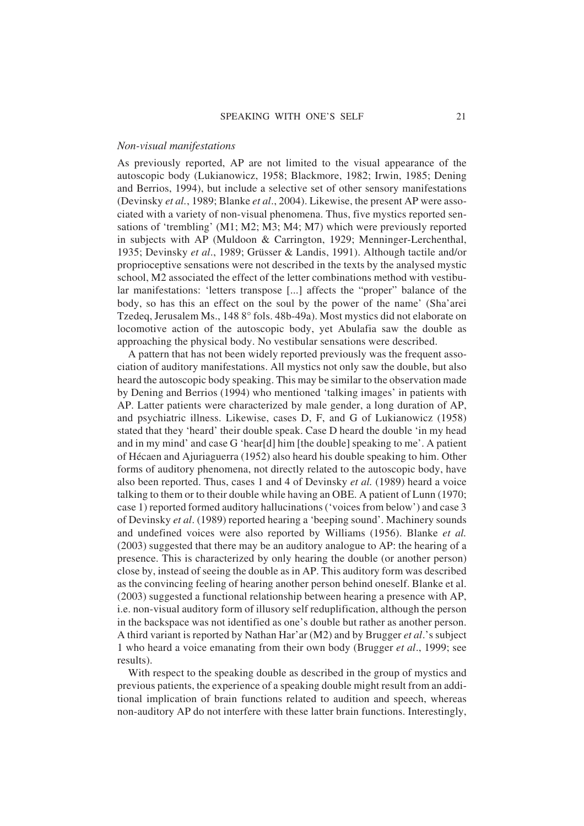#### *Non-visual manifestations*

As previously reported, AP are not limited to the visual appearance of the autoscopic body (Lukianowicz, 1958; Blackmore, 1982; Irwin, 1985; Dening and Berrios, 1994), but include a selective set of other sensory manifestations (Devinsky *et al.*, 1989; Blanke *et al*., 2004). Likewise, the present AP were associated with a variety of non-visual phenomena. Thus, five mystics reported sensations of 'trembling' (M1; M2; M3; M4; M7) which were previously reported in subjects with AP (Muldoon & Carrington, 1929; Menninger-Lerchenthal, 1935; Devinsky *et al*., 1989; Grüsser & Landis, 1991). Although tactile and/or proprioceptive sensations were not described in the texts by the analysed mystic school, M2 associated the effect of the letter combinations method with vestibular manifestations: 'letters transpose [...] affects the "proper" balance of the body, so has this an effect on the soul by the power of the name' (Sha'arei Tzedeq, Jerusalem Ms., 148 8° fols. 48b-49a). Most mystics did not elaborate on locomotive action of the autoscopic body, yet Abulafia saw the double as approaching the physical body. No vestibular sensations were described.

A pattern that has not been widely reported previously was the frequent association of auditory manifestations. All mystics not only saw the double, but also heard the autoscopic body speaking. This may be similar to the observation made by Dening and Berrios (1994) who mentioned 'talking images' in patients with AP. Latter patients were characterized by male gender, a long duration of AP, and psychiatric illness. Likewise, cases D, F, and G of Lukianowicz (1958) stated that they 'heard' their double speak. Case D heard the double 'in my head and in my mind' and case G 'hear[d] him [the double] speaking to me'. A patient of Hécaen and Ajuriaguerra (1952) also heard his double speaking to him. Other forms of auditory phenomena, not directly related to the autoscopic body, have also been reported. Thus, cases 1 and 4 of Devinsky *et al.* (1989) heard a voice talking to them or to their double while having an OBE. A patient of Lunn (1970; case 1) reported formed auditory hallucinations ('voices from below') and case 3 of Devinsky *et al*. (1989) reported hearing a 'beeping sound'. Machinery sounds and undefined voices were also reported by Williams (1956). Blanke *et al.* (2003) suggested that there may be an auditory analogue to AP: the hearing of a presence. This is characterized by only hearing the double (or another person) close by, instead of seeing the double as in AP. This auditory form was described as the convincing feeling of hearing another person behind oneself. Blanke et al. (2003) suggested a functional relationship between hearing a presence with AP, i.e. non-visual auditory form of illusory self reduplification, although the person in the backspace was not identified as one's double but rather as another person. A third variant is reported by Nathan Har'ar (M2) and by Brugger *et al*.'s subject 1 who heard a voice emanating from their own body (Brugger *et al*., 1999; see results).

With respect to the speaking double as described in the group of mystics and previous patients, the experience of a speaking double might result from an additional implication of brain functions related to audition and speech, whereas non-auditory AP do not interfere with these latter brain functions. Interestingly,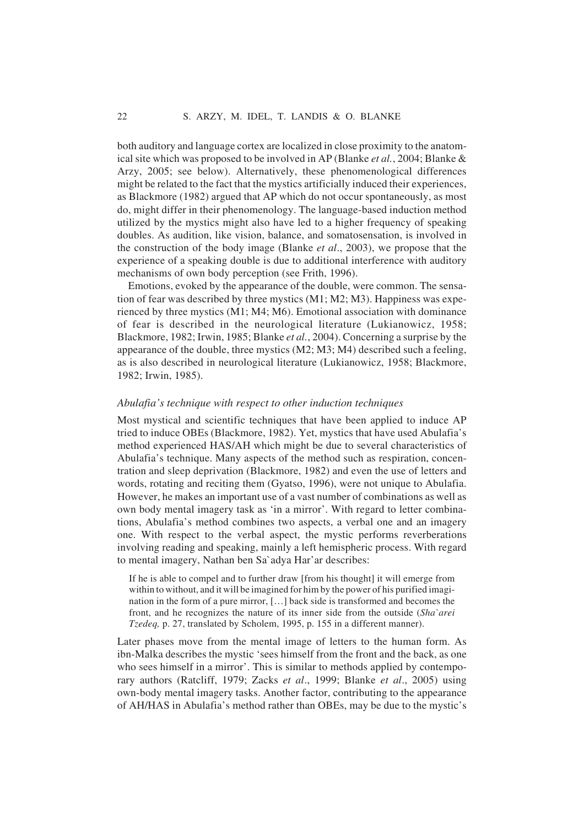both auditory and language cortex are localized in close proximity to the anatomical site which was proposed to be involved in AP (Blanke *et al.*, 2004; Blanke & Arzy, 2005; see below). Alternatively, these phenomenological differences might be related to the fact that the mystics artificially induced their experiences, as Blackmore (1982) argued that AP which do not occur spontaneously, as most do, might differ in their phenomenology. The language-based induction method utilized by the mystics might also have led to a higher frequency of speaking doubles. As audition, like vision, balance, and somatosensation, is involved in the construction of the body image (Blanke *et al*., 2003), we propose that the experience of a speaking double is due to additional interference with auditory mechanisms of own body perception (see Frith, 1996).

Emotions, evoked by the appearance of the double, were common. The sensation of fear was described by three mystics (M1; M2; M3). Happiness was experienced by three mystics (M1; M4; M6). Emotional association with dominance of fear is described in the neurological literature (Lukianowicz, 1958; Blackmore, 1982; Irwin, 1985; Blanke *et al.*, 2004). Concerning a surprise by the appearance of the double, three mystics (M2; M3; M4) described such a feeling, as is also described in neurological literature (Lukianowicz, 1958; Blackmore, 1982; Irwin, 1985).

# *Abulafia's technique with respect to other induction techniques*

Most mystical and scientific techniques that have been applied to induce AP tried to induce OBEs (Blackmore, 1982). Yet, mystics that have used Abulafia's method experienced HAS/AH which might be due to several characteristics of Abulafia's technique. Many aspects of the method such as respiration, concentration and sleep deprivation (Blackmore, 1982) and even the use of letters and words, rotating and reciting them (Gyatso, 1996), were not unique to Abulafia. However, he makes an important use of a vast number of combinations as well as own body mental imagery task as 'in a mirror'. With regard to letter combinations, Abulafia's method combines two aspects, a verbal one and an imagery one. With respect to the verbal aspect, the mystic performs reverberations involving reading and speaking, mainly a left hemispheric process. With regard to mental imagery, Nathan ben Sa`adya Har'ar describes:

If he is able to compel and to further draw [from his thought] it will emerge from within to without, and it will be imagined for him by the power of his purified imagination in the form of a pure mirror, […] back side is transformed and becomes the front, and he recognizes the nature of its inner side from the outside (*Sha`arei Tzedeq,* p. 27, translated by Scholem, 1995, p. 155 in a different manner).

Later phases move from the mental image of letters to the human form. As ibn-Malka describes the mystic 'sees himself from the front and the back, as one who sees himself in a mirror'. This is similar to methods applied by contemporary authors (Ratcliff, 1979; Zacks *et al*., 1999; Blanke *et al*., 2005) using own-body mental imagery tasks. Another factor, contributing to the appearance of AH/HAS in Abulafia's method rather than OBEs, may be due to the mystic's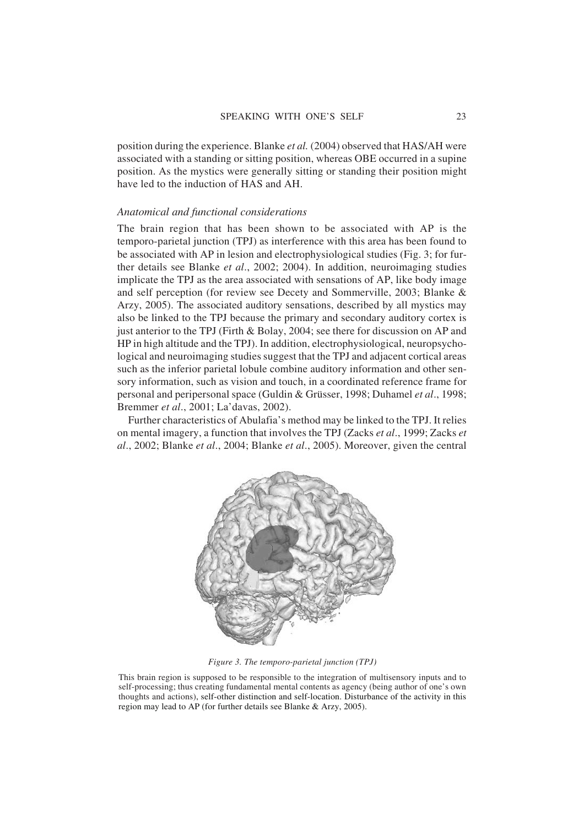position during the experience. Blanke *et al.* (2004) observed that HAS/AH were associated with a standing or sitting position, whereas OBE occurred in a supine position. As the mystics were generally sitting or standing their position might have led to the induction of HAS and AH.

#### *Anatomical and functional considerations*

The brain region that has been shown to be associated with AP is the temporo-parietal junction (TPJ) as interference with this area has been found to be associated with AP in lesion and electrophysiological studies (Fig. 3; for further details see Blanke *et al*., 2002; 2004). In addition, neuroimaging studies implicate the TPJ as the area associated with sensations of AP, like body image and self perception (for review see Decety and Sommerville, 2003; Blanke & Arzy, 2005). The associated auditory sensations, described by all mystics may also be linked to the TPJ because the primary and secondary auditory cortex is just anterior to the TPJ (Firth & Bolay, 2004; see there for discussion on AP and HP in high altitude and the TPJ). In addition, electrophysiological, neuropsychological and neuroimaging studies suggest that the TPJ and adjacent cortical areas such as the inferior parietal lobule combine auditory information and other sensory information, such as vision and touch, in a coordinated reference frame for personal and peripersonal space (Guldin & Grüsser, 1998; Duhamel *et al*., 1998; Bremmer *et al*., 2001; La'davas, 2002).

Further characteristics of Abulafia's method may be linked to the TPJ. It relies on mental imagery, a function that involves the TPJ (Zacks *et al*., 1999; Zacks *et al*., 2002; Blanke *et al*., 2004; Blanke *et al*., 2005). Moreover, given the central



*Figure 3. The temporo-parietal junction (TPJ)*

This brain region is supposed to be responsible to the integration of multisensory inputs and to self-processing; thus creating fundamental mental contents as agency (being author of one's own thoughts and actions), self-other distinction and self-location. Disturbance of the activity in this region may lead to AP (for further details see Blanke & Arzy, 2005).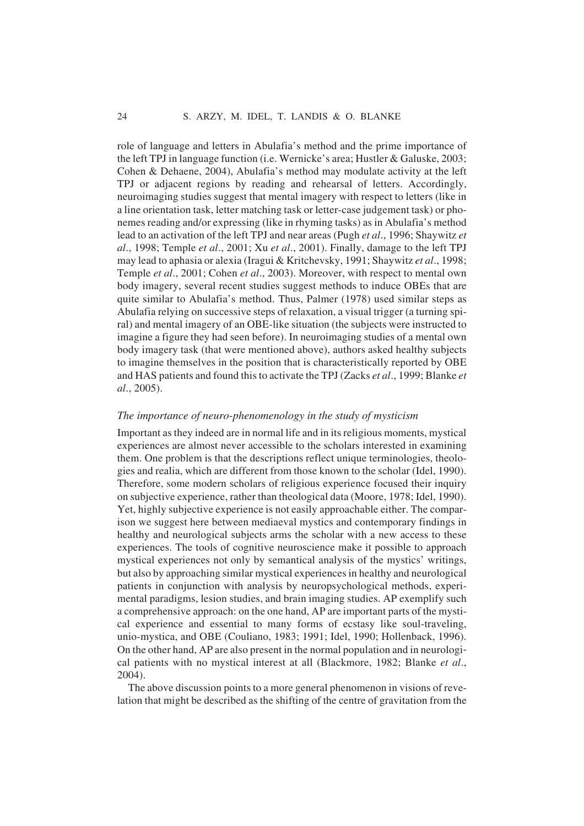role of language and letters in Abulafia's method and the prime importance of the left TPJ in language function (i.e. Wernicke's area; Hustler & Galuske, 2003; Cohen & Dehaene, 2004), Abulafia's method may modulate activity at the left TPJ or adjacent regions by reading and rehearsal of letters. Accordingly, neuroimaging studies suggest that mental imagery with respect to letters (like in a line orientation task, letter matching task or letter-case judgement task) or phonemes reading and/or expressing (like in rhyming tasks) as in Abulafia's method lead to an activation of the left TPJ and near areas (Pugh *et al*., 1996; Shaywitz *et al*., 1998; Temple *et al*., 2001; Xu *et al*., 2001). Finally, damage to the left TPJ may lead to aphasia or alexia (Iragui & Kritchevsky, 1991; Shaywitz *et al*., 1998; Temple *et al*., 2001; Cohen *et al*., 2003). Moreover, with respect to mental own body imagery, several recent studies suggest methods to induce OBEs that are quite similar to Abulafia's method. Thus, Palmer (1978) used similar steps as Abulafia relying on successive steps of relaxation, a visual trigger (a turning spiral) and mental imagery of an OBE-like situation (the subjects were instructed to imagine a figure they had seen before). In neuroimaging studies of a mental own body imagery task (that were mentioned above), authors asked healthy subjects to imagine themselves in the position that is characteristically reported by OBE and HAS patients and found this to activate the TPJ (Zacks *et al*., 1999; Blanke *et al*., 2005).

#### *The importance of neuro-phenomenology in the study of mysticism*

Important as they indeed are in normal life and in its religious moments, mystical experiences are almost never accessible to the scholars interested in examining them. One problem is that the descriptions reflect unique terminologies, theologies and realia, which are different from those known to the scholar (Idel, 1990). Therefore, some modern scholars of religious experience focused their inquiry on subjective experience, rather than theological data (Moore, 1978; Idel, 1990). Yet, highly subjective experience is not easily approachable either. The comparison we suggest here between mediaeval mystics and contemporary findings in healthy and neurological subjects arms the scholar with a new access to these experiences. The tools of cognitive neuroscience make it possible to approach mystical experiences not only by semantical analysis of the mystics' writings, but also by approaching similar mystical experiences in healthy and neurological patients in conjunction with analysis by neuropsychological methods, experimental paradigms, lesion studies, and brain imaging studies. AP exemplify such a comprehensive approach: on the one hand, AP are important parts of the mystical experience and essential to many forms of ecstasy like soul-traveling, unio-mystica, and OBE (Couliano, 1983; 1991; Idel, 1990; Hollenback, 1996). On the other hand, AP are also present in the normal population and in neurological patients with no mystical interest at all (Blackmore, 1982; Blanke *et al*., 2004).

The above discussion points to a more general phenomenon in visions of revelation that might be described as the shifting of the centre of gravitation from the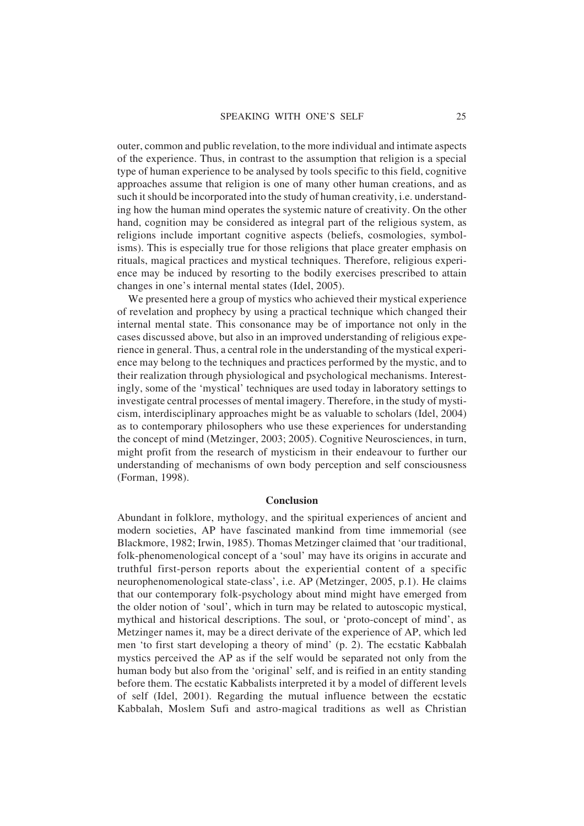outer, common and public revelation, to the more individual and intimate aspects of the experience. Thus, in contrast to the assumption that religion is a special type of human experience to be analysed by tools specific to this field, cognitive approaches assume that religion is one of many other human creations, and as such it should be incorporated into the study of human creativity, i.e. understanding how the human mind operates the systemic nature of creativity. On the other hand, cognition may be considered as integral part of the religious system, as religions include important cognitive aspects (beliefs, cosmologies, symbolisms). This is especially true for those religions that place greater emphasis on rituals, magical practices and mystical techniques. Therefore, religious experience may be induced by resorting to the bodily exercises prescribed to attain changes in one's internal mental states (Idel, 2005).

We presented here a group of mystics who achieved their mystical experience of revelation and prophecy by using a practical technique which changed their internal mental state. This consonance may be of importance not only in the cases discussed above, but also in an improved understanding of religious experience in general. Thus, a central role in the understanding of the mystical experience may belong to the techniques and practices performed by the mystic, and to their realization through physiological and psychological mechanisms. Interestingly, some of the 'mystical' techniques are used today in laboratory settings to investigate central processes of mental imagery. Therefore, in the study of mysticism, interdisciplinary approaches might be as valuable to scholars (Idel, 2004) as to contemporary philosophers who use these experiences for understanding the concept of mind (Metzinger, 2003; 2005). Cognitive Neurosciences, in turn, might profit from the research of mysticism in their endeavour to further our understanding of mechanisms of own body perception and self consciousness (Forman, 1998).

#### **Conclusion**

Abundant in folklore, mythology, and the spiritual experiences of ancient and modern societies, AP have fascinated mankind from time immemorial (see Blackmore, 1982; Irwin, 1985). Thomas Metzinger claimed that 'our traditional, folk-phenomenological concept of a 'soul' may have its origins in accurate and truthful first-person reports about the experiential content of a specific neurophenomenological state-class', i.e. AP (Metzinger, 2005, p.1). He claims that our contemporary folk-psychology about mind might have emerged from the older notion of 'soul', which in turn may be related to autoscopic mystical, mythical and historical descriptions. The soul, or 'proto-concept of mind', as Metzinger names it, may be a direct derivate of the experience of AP, which led men 'to first start developing a theory of mind' (p. 2). The ecstatic Kabbalah mystics perceived the AP as if the self would be separated not only from the human body but also from the 'original' self, and is reified in an entity standing before them. The ecstatic Kabbalists interpreted it by a model of different levels of self (Idel, 2001). Regarding the mutual influence between the ecstatic Kabbalah, Moslem Sufi and astro-magical traditions as well as Christian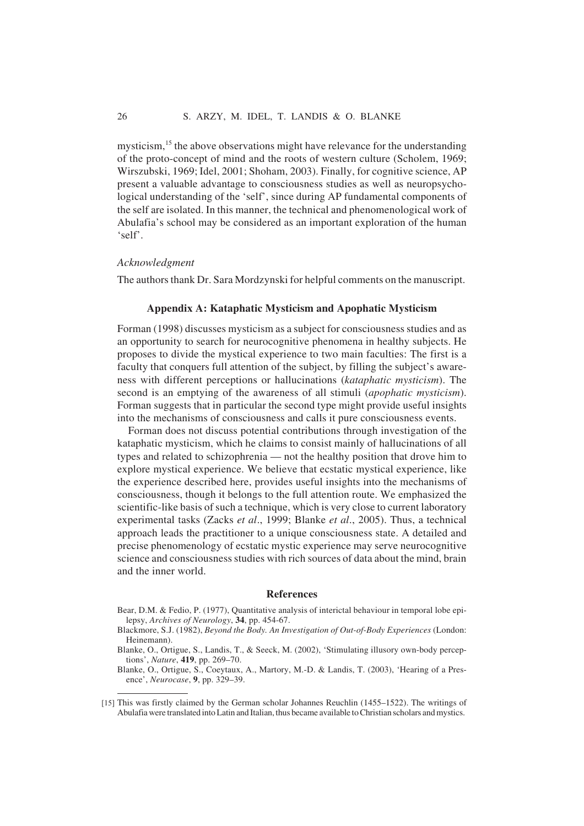mysticism,<sup>15</sup> the above observations might have relevance for the understanding of the proto-concept of mind and the roots of western culture (Scholem, 1969; Wirszubski, 1969; Idel, 2001; Shoham, 2003). Finally, for cognitive science, AP present a valuable advantage to consciousness studies as well as neuropsychological understanding of the 'self', since during AP fundamental components of the self are isolated. In this manner, the technical and phenomenological work of Abulafia's school may be considered as an important exploration of the human 'self'.

# *Acknowledgment*

The authors thank Dr. Sara Mordzynski for helpful comments on the manuscript.

#### **Appendix A: Kataphatic Mysticism and Apophatic Mysticism**

Forman (1998) discusses mysticism as a subject for consciousness studies and as an opportunity to search for neurocognitive phenomena in healthy subjects. He proposes to divide the mystical experience to two main faculties: The first is a faculty that conquers full attention of the subject, by filling the subject's awareness with different perceptions or hallucinations (*kataphatic mysticism*). The second is an emptying of the awareness of all stimuli (*apophatic mysticism*). Forman suggests that in particular the second type might provide useful insights into the mechanisms of consciousness and calls it pure consciousness events.

Forman does not discuss potential contributions through investigation of the kataphatic mysticism, which he claims to consist mainly of hallucinations of all types and related to schizophrenia — not the healthy position that drove him to explore mystical experience. We believe that ecstatic mystical experience, like the experience described here, provides useful insights into the mechanisms of consciousness, though it belongs to the full attention route. We emphasized the scientific-like basis of such a technique, which is very close to current laboratory experimental tasks (Zacks *et al*., 1999; Blanke *et al*., 2005). Thus, a technical approach leads the practitioner to a unique consciousness state. A detailed and precise phenomenology of ecstatic mystic experience may serve neurocognitive science and consciousness studies with rich sources of data about the mind, brain and the inner world.

#### **References**

- Bear, D.M. & Fedio, P. (1977), Quantitative analysis of interictal behaviour in temporal lobe epilepsy, *Archives of Neurology*, **34**, pp. 454-67.
- Blackmore, S.J. (1982), *Beyond the Body. An Investigation of Out-of-Body Experiences* (London: Heinemann).
- Blanke, O., Ortigue, S., Landis, T., & Seeck, M. (2002), 'Stimulating illusory own-body perceptions', *Nature*, **419**, pp. 269–70.

Blanke, O., Ortigue, S., Coeytaux, A., Martory, M.-D. & Landis, T. (2003), 'Hearing of a Presence', *Neurocase*, **9**, pp. 329–39.

<sup>[15]</sup> This was firstly claimed by the German scholar Johannes Reuchlin (1455–1522). The writings of Abulafia were translated into Latin and Italian, thus became available to Christian scholars and mystics.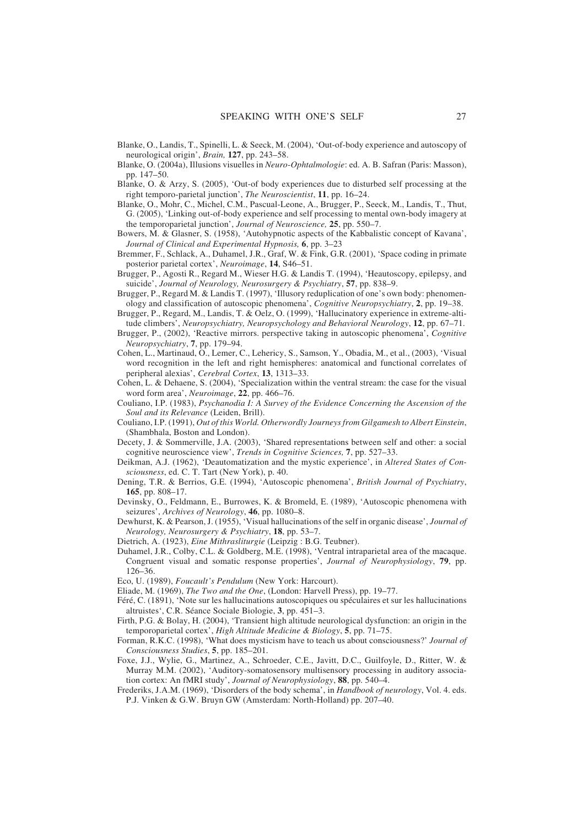- Blanke, O., Landis, T., Spinelli, L. & Seeck, M. (2004), 'Out-of-body experience and autoscopy of neurological origin', *Brain,* **127**, pp. 243–58.
- Blanke, O. (2004a), Illusions visuelles in *Neuro-Ophtalmologie*: ed. A. B. Safran (Paris: Masson), pp. 147–50.
- Blanke, O. & Arzy, S. (2005), 'Out-of body experiences due to disturbed self processing at the right temporo-parietal junction', *The Neuroscientist*, **11**, pp. 16–24.
- Blanke, O., Mohr, C., Michel, C.M., Pascual-Leone, A., Brugger, P., Seeck, M., Landis, T., Thut, G. (2005), 'Linking out-of-body experience and self processing to mental own-body imagery at the temporoparietal junction', *Journal of Neuroscience,* **25**, pp. 550–7.
- Bowers, M. & Glasner, S. (1958), 'Autohypnotic aspects of the Kabbalistic concept of Kavana', *Journal of Clinical and Experimental Hypnosis,* **6**, pp. 3–23
- Bremmer, F., Schlack, A., Duhamel, J.R., Graf, W. & Fink, G.R. (2001), 'Space coding in primate posterior parietal cortex', *Neuroimage*, **14**, S46–51.
- Brugger, P., Agosti R., Regard M., Wieser H.G. & Landis T. (1994), 'Heautoscopy, epilepsy, and suicide', *Journal of Neurology, Neurosurgery & Psychiatry*, **57**, pp. 838–9.
- Brugger, P., Regard M. & Landis T. (1997), 'Illusory reduplication of one's own body: phenomenology and classification of autoscopic phenomena', *Cognitive Neuropsychiatry*, **2**, pp. 19–38.
- Brugger, P., Regard, M., Landis, T. & Oelz, O. (1999), 'Hallucinatory experience in extreme-altitude climbers', *Neuropsychiatry, Neuropsychology and Behavioral Neurology*, **12**, pp. 67–71.
- Brugger, P., (2002), 'Reactive mirrors. perspective taking in autoscopic phenomena', *Cognitive Neuropsychiatry*, **7**, pp. 179–94.
- Cohen, L., Martinaud, O., Lemer, C., Lehericy, S., Samson, Y., Obadia, M., et al., (2003), 'Visual word recognition in the left and right hemispheres: anatomical and functional correlates of peripheral alexias', *Cerebral Cortex*, **13**, 1313–33.
- Cohen, L. & Dehaene, S. (2004), 'Specialization within the ventral stream: the case for the visual word form area', *Neuroimage*, **22**, pp. 466–76.
- Couliano, I.P. (1983), *Psychanodia I: A Survey of the Evidence Concerning the Ascension of the Soul and its Relevance* (Leiden, Brill).
- Couliano, I.P. (1991), *Out of this World. Otherwordly Journeys from Gilgamesh to Albert Einstein*, (Shambhala, Boston and London).
- Decety, J. & Sommerville, J.A. (2003), 'Shared representations between self and other: a social cognitive neuroscience view', *Trends in Cognitive Sciences,* **7**, pp. 527–33.
- Deikman, A.J. (1962), 'Deautomatization and the mystic experience', in *Altered States of Consciousness*, ed. C. T. Tart (New York), p. 40.
- Dening, T.R. & Berrios, G.E. (1994), 'Autoscopic phenomena', *British Journal of Psychiatry*, **165**, pp. 808–17.
- Devinsky, O., Feldmann, E., Burrowes, K. & Bromeld, E. (1989), 'Autoscopic phenomena with seizures', *Archives of Neurology*, **46**, pp. 1080–8.
- Dewhurst, K. & Pearson, J. (1955), 'Visual hallucinations of the self in organic disease', *Journal of Neurology, Neurosurgery & Psychiatry*, **18**, pp. 53–7.
- Dietrich, A. (1923), *Eine Mithrasliturgie* (Leipzig : B.G. Teubner).
- Duhamel, J.R., Colby, C.L. & Goldberg, M.E. (1998), 'Ventral intraparietal area of the macaque. Congruent visual and somatic response properties', *Journal of Neurophysiology*, **79**, pp. 126–36.
- Eco, U. (1989), *Foucault's Pendulum* (New York: Harcourt).
- Eliade, M. (1969), *The Two and the One*, (London: Harvell Press), pp. 19–77.
- Féré, C. (1891), 'Note sur les hallucinations autoscopiques ou spéculaires et sur les hallucinations altruistes', C.R. Séance Sociale Biologie, **3**, pp. 451–3.
- Firth, P.G. & Bolay, H. (2004), 'Transient high altitude neurological dysfunction: an origin in the temporoparietal cortex', *High Altitude Medicine & Biology*, **5**, pp. 71–75.
- Forman, R.K.C. (1998), 'What does mysticism have to teach us about consciousness?' *Journal of Consciousness Studies*, **5**, pp. 185–201.
- Foxe, J.J., Wylie, G., Martinez, A., Schroeder, C.E., Javitt, D.C., Guilfoyle, D., Ritter, W. & Murray M.M. (2002), 'Auditory-somatosensory multisensory processing in auditory association cortex: An fMRI study', *Journal of Neurophysiology*, **88**, pp. 540–4.
- Frederiks, J.A.M. (1969), 'Disorders of the body schema', in *Handbook of neurology*, Vol. 4. eds. P.J. Vinken & G.W. Bruyn GW (Amsterdam: North-Holland) pp. 207–40.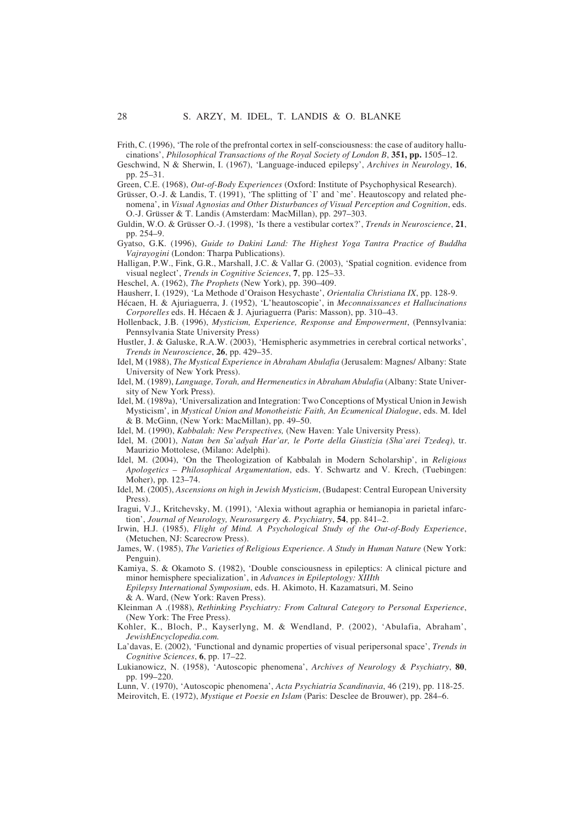Frith, C. (1996), 'The role of the prefrontal cortex in self-consciousness: the case of auditory hallucinations', *Philosophical Transactions of the Royal Society of London B*, **351, pp.** 1505–12.

Geschwind, N & Sherwin, I. (1967), 'Language-induced epilepsy', *Archives in Neurology*, **16**, pp. 25–31.

Green, C.E. (1968), *Out-of-Body Experiences* (Oxford: Institute of Psychophysical Research).

Grüsser, O.-J. & Landis, T. (1991), 'The splitting of `I' and `me'. Heautoscopy and related phenomena', in *Visual Agnosias and Other Disturbances of Visual Perception and Cognition*, eds. O.-J. Grüsser & T. Landis (Amsterdam: MacMillan), pp. 297–303.

- Guldin, W.O. & Grüsser O.-J. (1998), 'Is there a vestibular cortex?', *Trends in Neuroscience*, **21**, pp. 254–9.
- Gyatso, G.K. (1996), *Guide to Dakini Land: The Highest Yoga Tantra Practice of Buddha Vajrayogini* (London: Tharpa Publications).

Halligan, P.W., Fink, G.R., Marshall, J.C. & Vallar G. (2003), 'Spatial cognition. evidence from visual neglect', *Trends in Cognitive Sciences*, **7**, pp. 125–33.

Heschel, A. (1962), *The Prophets* (New York), pp. 390–409.

Hausherr, I. (1929), 'La Methode d'Oraison Hesychaste', *Orientalia Christiana IX*, pp. 128-9.

- Hécaen, H. & Ajuriaguerra, J. (1952), 'L'heautoscopie', in *Meconnaissances et Hallucinations Corporelles* eds. H. Hécaen & J. Ajuriaguerra (Paris: Masson), pp. 310–43.
- Hollenback, J.B. (1996), *Mysticism, Experience, Response and Empowerment*, (Pennsylvania: Pennsylvania State University Press)
- Hustler, J. & Galuske, R.A.W. (2003), 'Hemispheric asymmetries in cerebral cortical networks', *Trends in Neuroscience*, **26**, pp. 429–35.
- Idel, M (1988), *The Mystical Experience in Abraham Abulafia* (Jerusalem: Magnes/ Albany: State University of New York Press).
- Idel, M. (1989), *Language, Torah, and Hermeneutics in Abraham Abulafia* (Albany: State University of New York Press).
- Idel, M. (1989a), 'Universalization and Integration: Two Conceptions of Mystical Union in Jewish Mysticism', in *Mystical Union and Monotheistic Faith, An Ecumenical Dialogue*, eds. M. Idel & B. McGinn, (New York: MacMillan), pp. 49–50.
- Idel, M. (1990), *Kabbalah: New Perspectives,* (New Haven: Yale University Press).
- Idel, M. (2001), *Natan ben Sa`adyah Har'ar, le Porte della Giustizia (Sha`arei Tzedeq)*, tr. Maurizio Mottolese, (Milano: Adelphi).
- Idel, M. (2004), 'On the Theologization of Kabbalah in Modern Scholarship', in *Religious Apologetics – Philosophical Argumentation*, eds. Y. Schwartz and V. Krech, (Tuebingen: Moher), pp. 123–74.
- Idel, M. (2005), *Ascensions on high in Jewish Mysticism*, (Budapest: Central European University Press).
- Iragui, V.J., Kritchevsky, M. (1991), 'Alexia without agraphia or hemianopia in parietal infarction', *Journal of Neurology, Neurosurgery &. Psychiatry*, **54**, pp. 841–2.
- Irwin, H.J. (1985), *Flight of Mind. A Psychological Study of the Out-of-Body Experience*, (Metuchen, NJ: Scarecrow Press).
- James, W. (1985), *The Varieties of Religious Experience. A Study in Human Nature* (New York: Penguin).
- Kamiya, S. & Okamoto S. (1982), 'Double consciousness in epileptics: A clinical picture and minor hemisphere specialization', in *Advances in Epileptology: XIIIth Epilepsy International Symposium*, eds. H. Akimoto, H. Kazamatsuri, M. Seino
	- & A. Ward, (New York: Raven Press).
- Kleinman A .(1988), *Rethinking Psychiatry: From Caltural Category to Personal Experience*, (New York: The Free Press).
- Kohler, K., Bloch, P., Kayserlyng, M. & Wendland, P. (2002), 'Abulafia, Abraham', *JewishEncyclopedia.com.*
- La'davas, E. (2002), 'Functional and dynamic properties of visual peripersonal space', *Trends in Cognitive Sciences*, **6**, pp. 17–22.
- Lukianowicz, N. (1958), 'Autoscopic phenomena', *Archives of Neurology & Psychiatry*, **80**, pp. 199–220.
- Lunn, V. (1970), 'Autoscopic phenomena', *Acta Psychiatria Scandinavia*, 46 (219), pp. 118-25. Meirovitch, E. (1972), *Mystique et Poesie en Islam* (Paris: Desclee de Brouwer), pp. 284–6.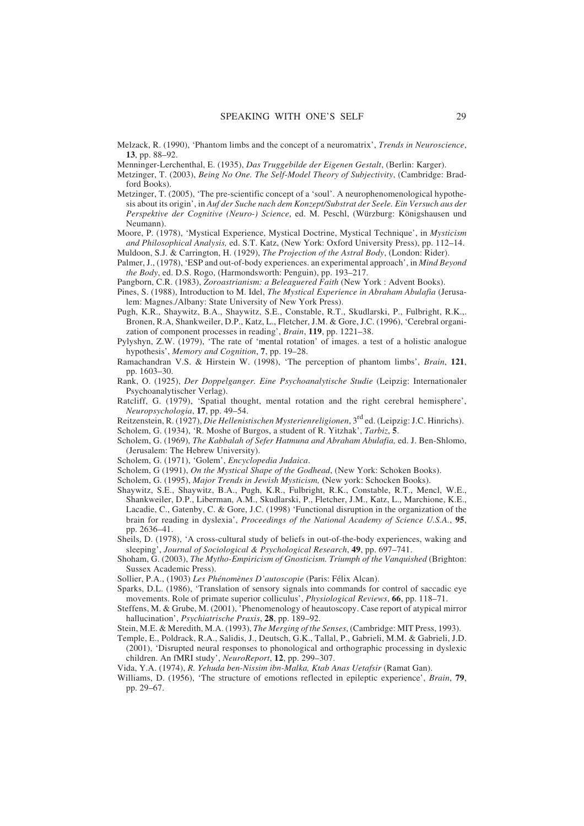Melzack, R. (1990), 'Phantom limbs and the concept of a neuromatrix', *Trends in Neuroscience*, **13**, pp. 88–92.

Menninger-Lerchenthal, E. (1935), *Das Truggebilde der Eigenen Gestalt*, (Berlin: Karger).

- Metzinger, T. (2003), *Being No One. The Self-Model Theory of Subjectivity*, (Cambridge: Bradford Books).
- Metzinger, T. (2005), 'The pre-scientific concept of a 'soul'. A neurophenomenological hypothesis about its origin', in *Auf der Suche nach dem Konzept/Substrat der Seele. Ein Versuch aus der Perspektive der Cognitive (Neuro-) Science*, ed. M. Peschl, (Würzburg: Königshausen und Neumann).
- Moore, P. (1978), 'Mystical Experience, Mystical Doctrine, Mystical Technique', in *Mysticism and Philosophical Analysis,* ed. S.T. Katz, (New York: Oxford University Press), pp. 112–14. Muldoon, S.J. & Carrington, H. (1929), *The Projection of the Astral Body*, (London: Rider).
- Palmer, J., (1978), 'ESP and out-of-body experiences. an experimental approach', in *Mind Beyond the Body*, ed. D.S. Rogo, (Harmondsworth: Penguin), pp. 193–217.
- Pangborn, C.R. (1983), *Zoroastrianism: a Beleaguered Faith* (New York : Advent Books).
- Pines, S. (1988), Introduction to M. Idel, *The Mystical Experience in Abraham Abulafia* (Jerusalem: Magnes./Albany: State University of New York Press).
- Pugh, K.R., Shaywitz, B.A., Shaywitz, S.E., Constable, R.T., Skudlarski, P., Fulbright, R.K.,. Bronen, R.A, Shankweiler, D.P., Katz, L., Fletcher, J.M. & Gore, J.C. (1996), 'Cerebral organization of component processes in reading', *Brain*, **119**, pp. 1221–38.
- Pylyshyn, Z.W. (1979), 'The rate of 'mental rotation' of images. a test of a holistic analogue hypothesis', *Memory and Cognition*, **7**, pp. 19–28.
- Ramachandran V.S. & Hirstein W. (1998), 'The perception of phantom limbs', *Brain*, **121**, pp. 1603–30.
- Rank, O. (1925), *Der Doppelganger. Eine Psychoanalytische Studie* (Leipzig: Internationaler Psychoanalytischer Verlag).
- Ratcliff, G. (1979), 'Spatial thought, mental rotation and the right cerebral hemisphere', *Neuropsychologia*, **17**, pp. 49–54.
- Reitzenstein, R. (1927), *Die Hellenistischen Mysterienreligionen*, 3rd ed. (Leipzig: J.C. Hinrichs).
- Scholem, G. (1934), 'R. Moshe of Burgos, a student of R. Yitzhak', *Tarbiz*, **5**.
- Scholem, G. (1969), *The Kabbalah of Sefer Hatmuna and Abraham Abulafia,* ed. J. Ben-Shlomo, (Jerusalem: The Hebrew University).
- Scholem, G. (1971), 'Golem', *Encyclopedia Judaica*.
- Scholem, G (1991), *On the Mystical Shape of the Godhead*, (New York: Schoken Books).
- Scholem, G. (1995), *Major Trends in Jewish Mysticism,* **(**New york: Schocken Books).
- Shaywitz, S.E., Shaywitz, B.A., Pugh, K.R., Fulbright, R.K., Constable, R.T., Mencl, W.E., Shankweiler, D.P., Liberman, A.M., Skudlarski, P., Fletcher, J.M., Katz, L., Marchione, K.E., Lacadie, C., Gatenby, C. & Gore, J.C. (1998) 'Functional disruption in the organization of the brain for reading in dyslexia', *Proceedings of the National Academy of Science U.S.A.*, **95**, pp. 2636–41.
- Sheils, D. (1978), 'A cross-cultural study of beliefs in out-of-the-body experiences, waking and sleeping', *Journal of Sociological & Psychological Research*, **49**, pp. 697–741.
- Shoham, G. (2003), *The Mytho-Empiricism of Gnosticism. Triumph of the Vanquished* (Brighton: Sussex Academic Press).
- Sollier, P.A., (1903) *Les Phénomènes D'autoscopie* (Paris: Félix Alcan).
- Sparks, D.L. (1986), 'Translation of sensory signals into commands for control of saccadic eye movements. Role of primate superior colliculus', *Physiological Reviews*, **66**, pp. 118–71.
- Steffens, M. & Grube, M. (2001), 'Phenomenology of heautoscopy. Case report of atypical mirror hallucination', *Psychiatrische Praxis*, **28**, pp. 189–92.
- Stein, M.E. & Meredith, M.A. (1993), *The Merging of the Senses*, (Cambridge: MIT Press, 1993).
- Temple, E., Poldrack, R.A., Salidis, J., Deutsch, G.K., Tallal, P., Gabrieli, M.M. & Gabrieli, J.D. (2001), 'Disrupted neural responses to phonological and orthographic processing in dyslexic children. An fMRI study', *NeuroReport*, **12**, pp. 299–307.
- Vida, Y.A. (1974), *R. Yehuda ben-Nissim ibn-Malka, Ktab Anas Uetafsir* (Ramat Gan).
- Williams, D. (1956), 'The structure of emotions reflected in epileptic experience', *Brain*, **79**, pp. 29–67.